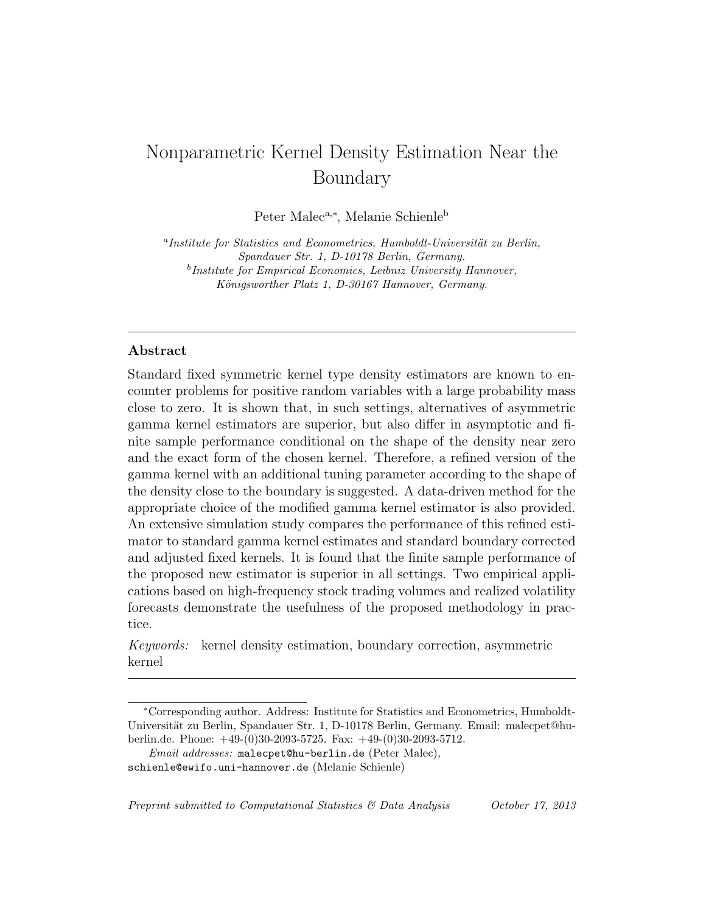# Nonparametric Kernel Density Estimation Near the Boundary

Peter Malec<sup>a,∗</sup>, Melanie Schienle<sup>b</sup>

<sup>a</sup>Institute for Statistics and Econometrics, Humboldt-Universität zu Berlin, Spandauer Str. 1, D-10178 Berlin, Germany. <sup>b</sup>Institute for Empirical Economics, Leibniz University Hannover, Königsworther Platz 1, D-30167 Hannover, Germany.

# Abstract

Standard fixed symmetric kernel type density estimators are known to encounter problems for positive random variables with a large probability mass close to zero. It is shown that, in such settings, alternatives of asymmetric gamma kernel estimators are superior, but also differ in asymptotic and finite sample performance conditional on the shape of the density near zero and the exact form of the chosen kernel. Therefore, a refined version of the gamma kernel with an additional tuning parameter according to the shape of the density close to the boundary is suggested. A data-driven method for the appropriate choice of the modified gamma kernel estimator is also provided. An extensive simulation study compares the performance of this refined estimator to standard gamma kernel estimates and standard boundary corrected and adjusted fixed kernels. It is found that the finite sample performance of the proposed new estimator is superior in all settings. Two empirical applications based on high-frequency stock trading volumes and realized volatility forecasts demonstrate the usefulness of the proposed methodology in practice.

Keywords: kernel density estimation, boundary correction, asymmetric kernel

Preprint submitted to Computational Statistics & Data Analysis October 17, 2013

<sup>∗</sup>Corresponding author. Address: Institute for Statistics and Econometrics, Humboldt-Universität zu Berlin, Spandauer Str. 1, D-10178 Berlin, Germany. Email: malecpet@huberlin.de. Phone: +49-(0)30-2093-5725. Fax: +49-(0)30-2093-5712.

Email addresses: malecpet@hu-berlin.de (Peter Malec),

schienle@ewifo.uni-hannover.de (Melanie Schienle)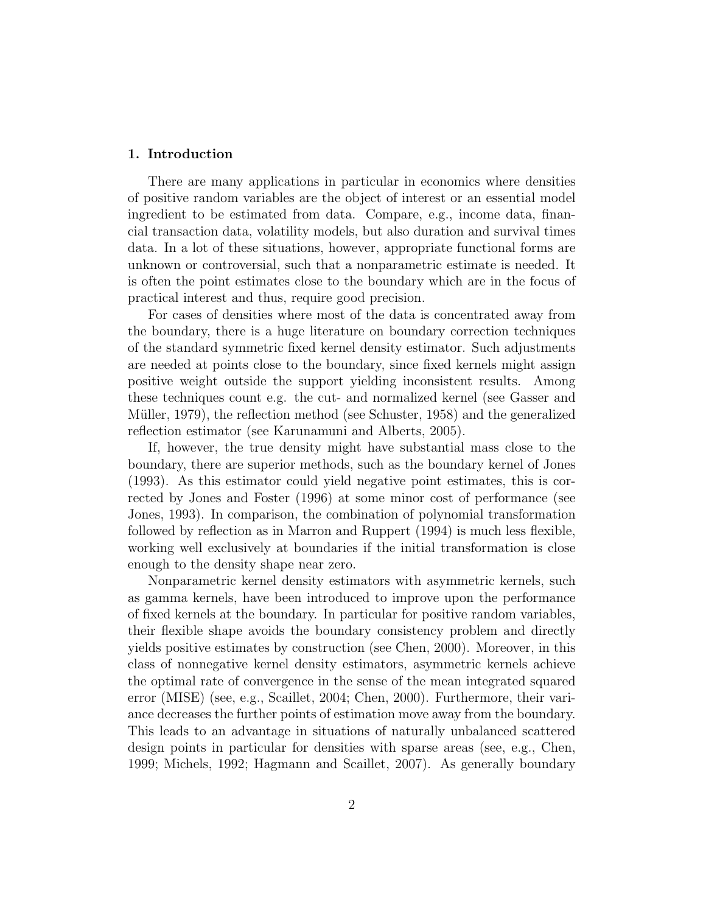# 1. Introduction

There are many applications in particular in economics where densities of positive random variables are the object of interest or an essential model ingredient to be estimated from data. Compare, e.g., income data, financial transaction data, volatility models, but also duration and survival times data. In a lot of these situations, however, appropriate functional forms are unknown or controversial, such that a nonparametric estimate is needed. It is often the point estimates close to the boundary which are in the focus of practical interest and thus, require good precision.

For cases of densities where most of the data is concentrated away from the boundary, there is a huge literature on boundary correction techniques of the standard symmetric fixed kernel density estimator. Such adjustments are needed at points close to the boundary, since fixed kernels might assign positive weight outside the support yielding inconsistent results. Among these techniques count e.g. the cut- and normalized kernel (see Gasser and Müller, 1979), the reflection method (see Schuster, 1958) and the generalized reflection estimator (see Karunamuni and Alberts, 2005).

If, however, the true density might have substantial mass close to the boundary, there are superior methods, such as the boundary kernel of Jones (1993). As this estimator could yield negative point estimates, this is corrected by Jones and Foster (1996) at some minor cost of performance (see Jones, 1993). In comparison, the combination of polynomial transformation followed by reflection as in Marron and Ruppert (1994) is much less flexible, working well exclusively at boundaries if the initial transformation is close enough to the density shape near zero.

Nonparametric kernel density estimators with asymmetric kernels, such as gamma kernels, have been introduced to improve upon the performance of fixed kernels at the boundary. In particular for positive random variables, their flexible shape avoids the boundary consistency problem and directly yields positive estimates by construction (see Chen, 2000). Moreover, in this class of nonnegative kernel density estimators, asymmetric kernels achieve the optimal rate of convergence in the sense of the mean integrated squared error (MISE) (see, e.g., Scaillet, 2004; Chen, 2000). Furthermore, their variance decreases the further points of estimation move away from the boundary. This leads to an advantage in situations of naturally unbalanced scattered design points in particular for densities with sparse areas (see, e.g., Chen, 1999; Michels, 1992; Hagmann and Scaillet, 2007). As generally boundary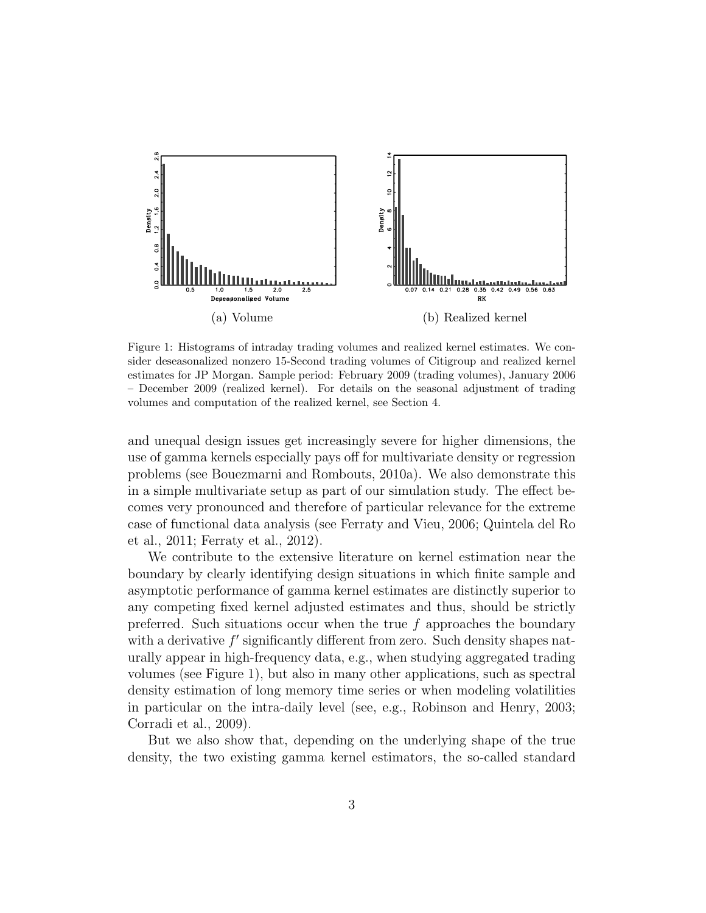

Figure 1: Histograms of intraday trading volumes and realized kernel estimates. We consider deseasonalized nonzero 15-Second trading volumes of Citigroup and realized kernel estimates for JP Morgan. Sample period: February 2009 (trading volumes), January 2006 – December 2009 (realized kernel). For details on the seasonal adjustment of trading volumes and computation of the realized kernel, see Section 4.

and unequal design issues get increasingly severe for higher dimensions, the use of gamma kernels especially pays off for multivariate density or regression problems (see Bouezmarni and Rombouts, 2010a). We also demonstrate this in a simple multivariate setup as part of our simulation study. The effect becomes very pronounced and therefore of particular relevance for the extreme case of functional data analysis (see Ferraty and Vieu, 2006; Quintela del Ro et al., 2011; Ferraty et al., 2012).

We contribute to the extensive literature on kernel estimation near the boundary by clearly identifying design situations in which finite sample and asymptotic performance of gamma kernel estimates are distinctly superior to any competing fixed kernel adjusted estimates and thus, should be strictly preferred. Such situations occur when the true f approaches the boundary with a derivative  $f'$  significantly different from zero. Such density shapes naturally appear in high-frequency data, e.g., when studying aggregated trading volumes (see Figure 1), but also in many other applications, such as spectral density estimation of long memory time series or when modeling volatilities in particular on the intra-daily level (see, e.g., Robinson and Henry, 2003; Corradi et al., 2009).

But we also show that, depending on the underlying shape of the true density, the two existing gamma kernel estimators, the so-called standard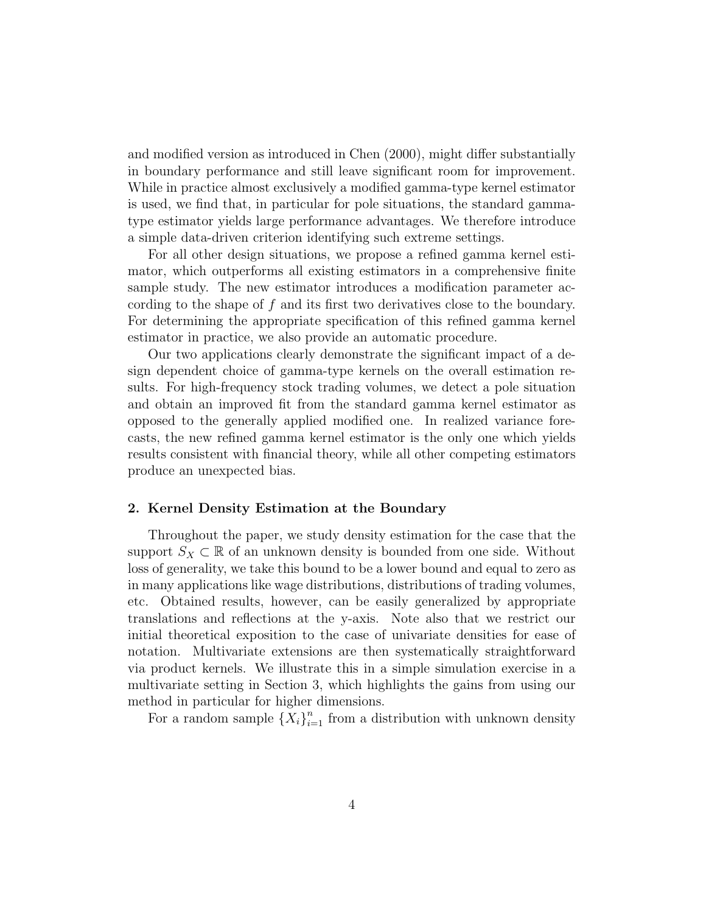and modified version as introduced in Chen (2000), might differ substantially in boundary performance and still leave significant room for improvement. While in practice almost exclusively a modified gamma-type kernel estimator is used, we find that, in particular for pole situations, the standard gammatype estimator yields large performance advantages. We therefore introduce a simple data-driven criterion identifying such extreme settings.

For all other design situations, we propose a refined gamma kernel estimator, which outperforms all existing estimators in a comprehensive finite sample study. The new estimator introduces a modification parameter according to the shape of f and its first two derivatives close to the boundary. For determining the appropriate specification of this refined gamma kernel estimator in practice, we also provide an automatic procedure.

Our two applications clearly demonstrate the significant impact of a design dependent choice of gamma-type kernels on the overall estimation results. For high-frequency stock trading volumes, we detect a pole situation and obtain an improved fit from the standard gamma kernel estimator as opposed to the generally applied modified one. In realized variance forecasts, the new refined gamma kernel estimator is the only one which yields results consistent with financial theory, while all other competing estimators produce an unexpected bias.

#### 2. Kernel Density Estimation at the Boundary

Throughout the paper, we study density estimation for the case that the support  $S_X \subset \mathbb{R}$  of an unknown density is bounded from one side. Without loss of generality, we take this bound to be a lower bound and equal to zero as in many applications like wage distributions, distributions of trading volumes, etc. Obtained results, however, can be easily generalized by appropriate translations and reflections at the y-axis. Note also that we restrict our initial theoretical exposition to the case of univariate densities for ease of notation. Multivariate extensions are then systematically straightforward via product kernels. We illustrate this in a simple simulation exercise in a multivariate setting in Section 3, which highlights the gains from using our method in particular for higher dimensions.

For a random sample  $\{X_i\}_{i=1}^n$  from a distribution with unknown density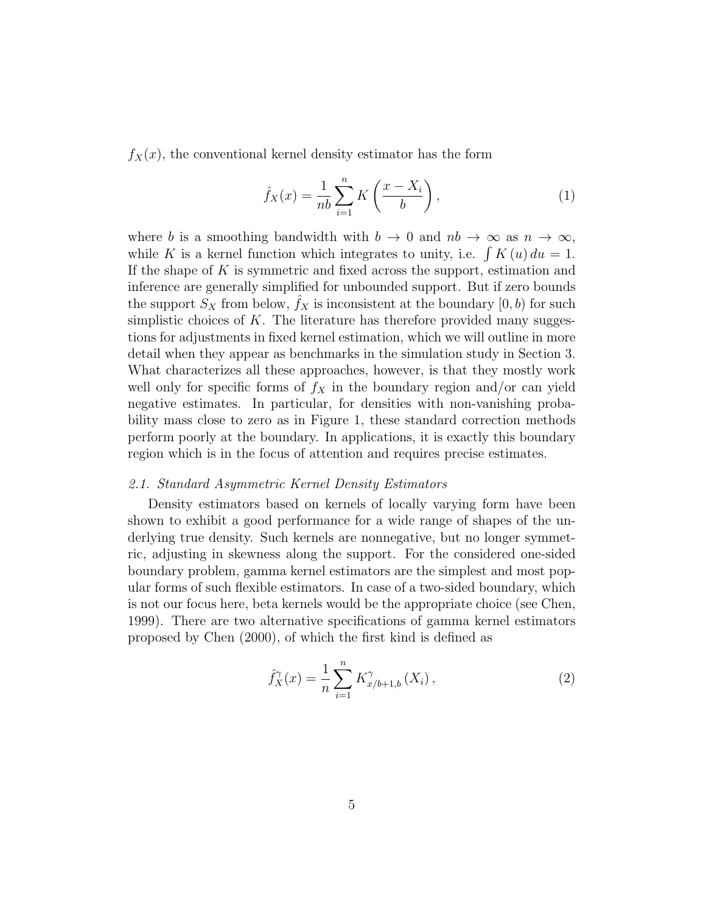$f_X(x)$ , the conventional kernel density estimator has the form

$$
\hat{f}_X(x) = \frac{1}{nb} \sum_{i=1}^n K\left(\frac{x - X_i}{b}\right),\tag{1}
$$

where b is a smoothing bandwidth with  $b \to 0$  and  $nb \to \infty$  as  $n \to \infty$ , while K is a kernel function which integrates to unity, i.e.  $\int K(u) du = 1$ . If the shape of  $K$  is symmetric and fixed across the support, estimation and inference are generally simplified for unbounded support. But if zero bounds the support  $S_X$  from below,  $f_X$  is inconsistent at the boundary  $[0, b)$  for such simplistic choices of  $K$ . The literature has therefore provided many suggestions for adjustments in fixed kernel estimation, which we will outline in more detail when they appear as benchmarks in the simulation study in Section 3. What characterizes all these approaches, however, is that they mostly work well only for specific forms of  $f_X$  in the boundary region and/or can yield negative estimates. In particular, for densities with non-vanishing probability mass close to zero as in Figure 1, these standard correction methods perform poorly at the boundary. In applications, it is exactly this boundary region which is in the focus of attention and requires precise estimates.

#### 2.1. Standard Asymmetric Kernel Density Estimators

Density estimators based on kernels of locally varying form have been shown to exhibit a good performance for a wide range of shapes of the underlying true density. Such kernels are nonnegative, but no longer symmetric, adjusting in skewness along the support. For the considered one-sided boundary problem, gamma kernel estimators are the simplest and most popular forms of such flexible estimators. In case of a two-sided boundary, which is not our focus here, beta kernels would be the appropriate choice (see Chen, 1999). There are two alternative specifications of gamma kernel estimators proposed by Chen (2000), of which the first kind is defined as

$$
\hat{f}_X^{\gamma}(x) = \frac{1}{n} \sum_{i=1}^n K_{x/b+1,b}^{\gamma}(X_i), \qquad (2)
$$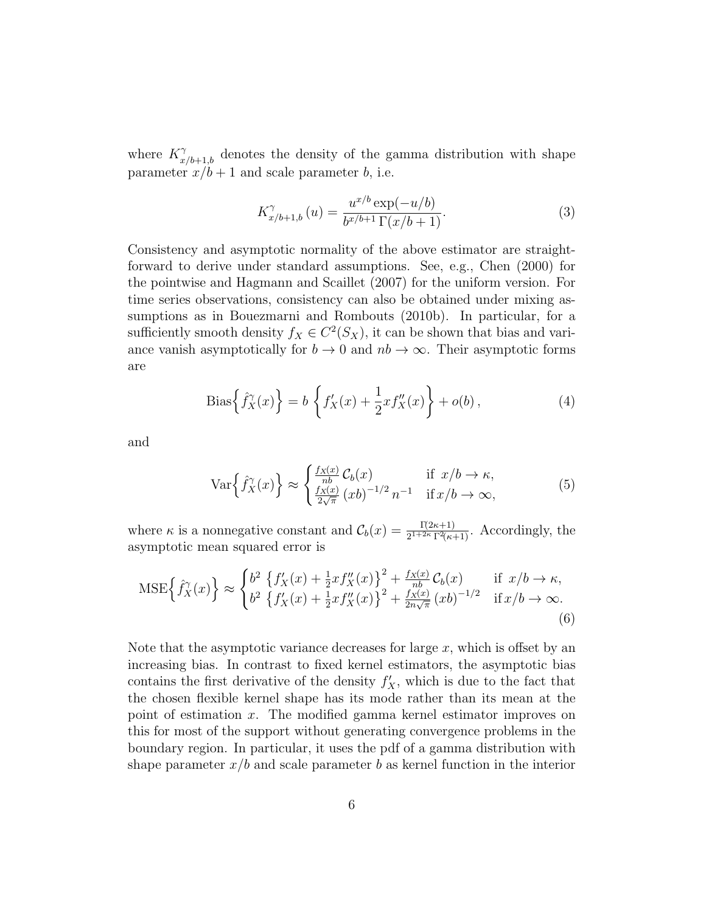where  $K^{\gamma}_{x/b+1,b}$  denotes the density of the gamma distribution with shape parameter  $x/b + 1$  and scale parameter b, i.e.

$$
K_{x/b+1,b}^{\gamma}(u) = \frac{u^{x/b} \exp(-u/b)}{b^{x/b+1} \Gamma(x/b+1)}.
$$
 (3)

Consistency and asymptotic normality of the above estimator are straightforward to derive under standard assumptions. See, e.g., Chen (2000) for the pointwise and Hagmann and Scaillet (2007) for the uniform version. For time series observations, consistency can also be obtained under mixing assumptions as in Bouezmarni and Rombouts (2010b). In particular, for a sufficiently smooth density  $f_X \in C^2(S_X)$ , it can be shown that bias and variance vanish asymptotically for  $b \to 0$  and  $nb \to \infty$ . Their asymptotic forms are

Bias
$$
\left\{\hat{f}_X^{\gamma}(x)\right\} = b \left\{f'_X(x) + \frac{1}{2}xf''_X(x)\right\} + o(b),
$$
 (4)

and

$$
\operatorname{Var}\left\{\hat{f}_X^{\gamma}(x)\right\} \approx \begin{cases} \frac{f_X(x)}{nb} \mathcal{C}_b(x) & \text{if } x/b \to \kappa, \\ \frac{f_X(x)}{2\sqrt{\pi}} \left(xb\right)^{-1/2} n^{-1} & \text{if } x/b \to \infty, \end{cases}
$$
(5)

where  $\kappa$  is a nonnegative constant and  $\mathcal{C}_b(x) = \frac{\Gamma(2\kappa+1)}{2^{1+2\kappa}\Gamma^2(\kappa+1)}$ . Accordingly, the asymptotic mean squared error is

$$
\text{MSE}\left\{\hat{f}_X(x)\right\} \approx \begin{cases} b^2 \left\{f'_X(x) + \frac{1}{2}xf''_X(x)\right\}^2 + \frac{f_X(x)}{nb} \mathcal{C}_b(x) & \text{if } x/b \to \kappa, \\ b^2 \left\{f'_X(x) + \frac{1}{2}xf''_X(x)\right\}^2 + \frac{f_X(x)}{2n\sqrt{\pi}} (xb)^{-1/2} & \text{if } x/b \to \infty. \end{cases}
$$
(6)

Note that the asymptotic variance decreases for large  $x$ , which is offset by an increasing bias. In contrast to fixed kernel estimators, the asymptotic bias contains the first derivative of the density  $f'_X$ , which is due to the fact that the chosen flexible kernel shape has its mode rather than its mean at the point of estimation x. The modified gamma kernel estimator improves on this for most of the support without generating convergence problems in the boundary region. In particular, it uses the pdf of a gamma distribution with shape parameter  $x/b$  and scale parameter b as kernel function in the interior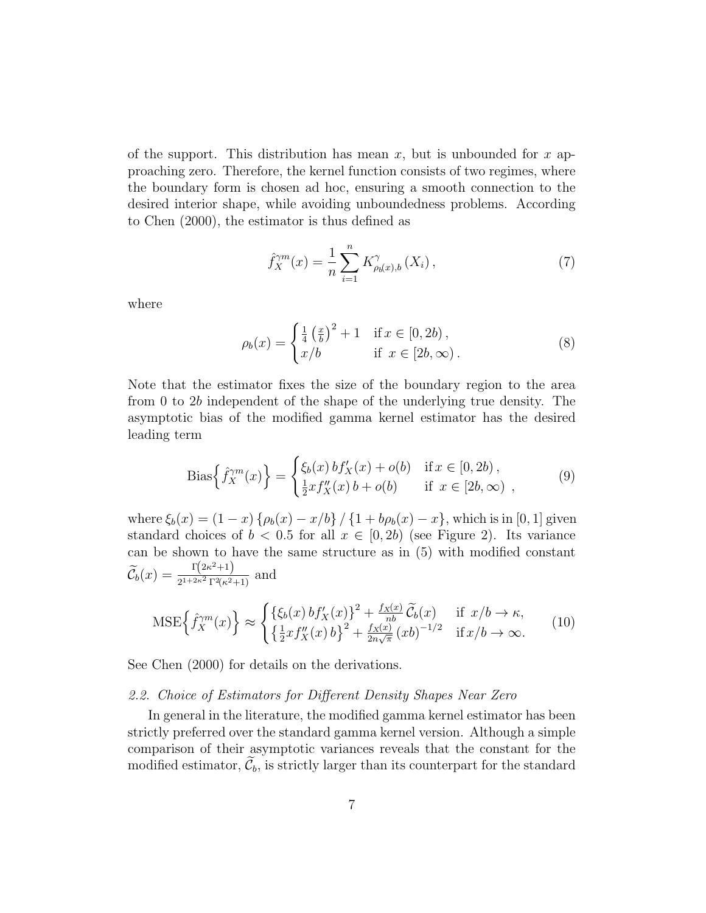of the support. This distribution has mean  $x$ , but is unbounded for  $x$  approaching zero. Therefore, the kernel function consists of two regimes, where the boundary form is chosen ad hoc, ensuring a smooth connection to the desired interior shape, while avoiding unboundedness problems. According to Chen (2000), the estimator is thus defined as

$$
\hat{f}_X^{\gamma m}(x) = \frac{1}{n} \sum_{i=1}^n K_{\rho_b(x),b}^{\gamma}(X_i), \qquad (7)
$$

where

$$
\rho_b(x) = \begin{cases} \frac{1}{4} \left(\frac{x}{b}\right)^2 + 1 & \text{if } x \in [0, 2b), \\ x/b & \text{if } x \in [2b, \infty). \end{cases}
$$
 (8)

Note that the estimator fixes the size of the boundary region to the area from 0 to 2b independent of the shape of the underlying true density. The asymptotic bias of the modified gamma kernel estimator has the desired leading term

Bias
$$
\left\{\hat{f}_X^{\gamma m}(x)\right\} = \begin{cases} \xi_b(x) \, b f'_X(x) + o(b) & \text{if } x \in [0, 2b), \\ \frac{1}{2} x f''_X(x) \, b + o(b) & \text{if } x \in [2b, \infty) \end{cases},\tag{9}
$$

where  $\xi_b(x) = (1-x) \{\rho_b(x) - x/b\} / \{1 + b\rho_b(x) - x\}$ , which is in [0, 1] given standard choices of  $b < 0.5$  for all  $x \in [0, 2b)$  (see Figure 2). Its variance can be shown to have the same structure as in (5) with modified constant  $\widetilde{\mathcal{C}}_b(x) = \frac{\Gamma(2\kappa^2+1)}{2^{1+2\kappa^2}\Gamma^2(\kappa^2)}$  $\frac{1}{2^{1+2\kappa^2}\Gamma^2(\kappa^2+1)}$  and

$$
\text{MSE}\left\{\hat{f}_X^{\gamma m}(x)\right\} \approx \begin{cases} \{\xi_b(x) b f_X'(x)\}^2 + \frac{f_X(x)}{nb} \widetilde{\mathcal{C}}_b(x) & \text{if } x/b \to \kappa, \\ \{\frac{1}{2} x f_X''(x) b\}^2 + \frac{f_X(x)}{2n\sqrt{\pi}} (xb)^{-1/2} & \text{if } x/b \to \infty. \end{cases} \tag{10}
$$

See Chen (2000) for details on the derivations.

#### 2.2. Choice of Estimators for Different Density Shapes Near Zero

In general in the literature, the modified gamma kernel estimator has been strictly preferred over the standard gamma kernel version. Although a simple comparison of their asymptotic variances reveals that the constant for the modified estimator,  $\tilde{\mathcal{C}}_b$ , is strictly larger than its counterpart for the standard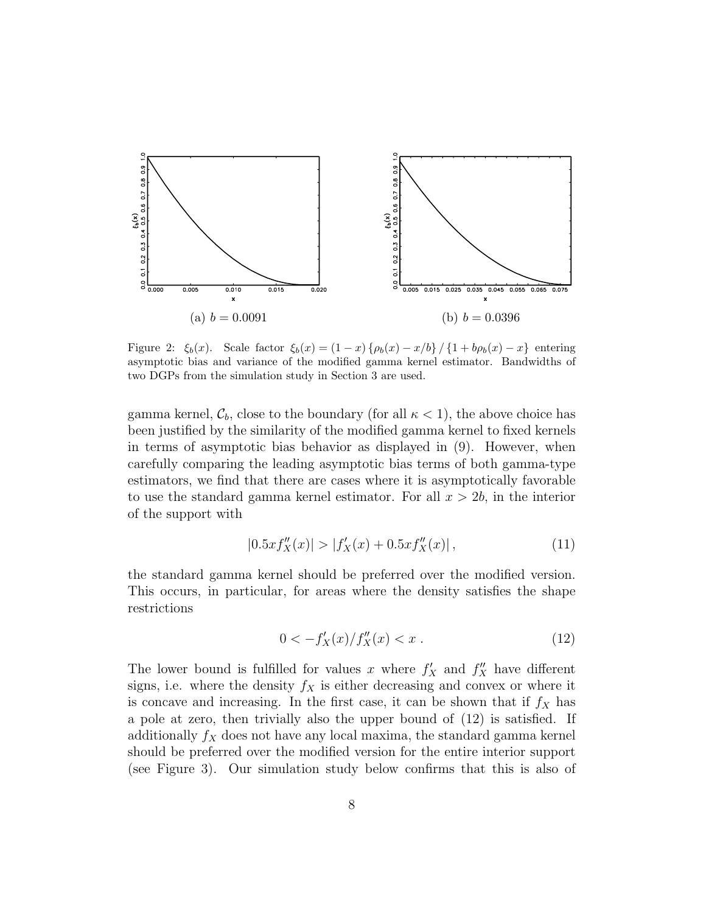

Figure 2:  $\xi_b(x)$ . Scale factor  $\xi_b(x) = (1-x)\{\rho_b(x) - x/b\} / \{1 + b\rho_b(x) - x\}$  entering asymptotic bias and variance of the modified gamma kernel estimator. Bandwidths of two DGPs from the simulation study in Section 3 are used.

gamma kernel,  $\mathcal{C}_b$ , close to the boundary (for all  $\kappa < 1$ ), the above choice has been justified by the similarity of the modified gamma kernel to fixed kernels in terms of asymptotic bias behavior as displayed in (9). However, when carefully comparing the leading asymptotic bias terms of both gamma-type estimators, we find that there are cases where it is asymptotically favorable to use the standard gamma kernel estimator. For all  $x > 2b$ , in the interior of the support with

$$
|0.5xf''_X(x)| > |f'_X(x) + 0.5xf''_X(x)|,
$$
\n(11)

the standard gamma kernel should be preferred over the modified version. This occurs, in particular, for areas where the density satisfies the shape restrictions

$$
0 < -f_X'(x) / f_X''(x) < x . \tag{12}
$$

The lower bound is fulfilled for values x where  $f'_{X}$  and  $f''_{X}$  have different signs, i.e. where the density  $f_X$  is either decreasing and convex or where it is concave and increasing. In the first case, it can be shown that if  $f_X$  has a pole at zero, then trivially also the upper bound of (12) is satisfied. If additionally  $f_X$  does not have any local maxima, the standard gamma kernel should be preferred over the modified version for the entire interior support (see Figure 3). Our simulation study below confirms that this is also of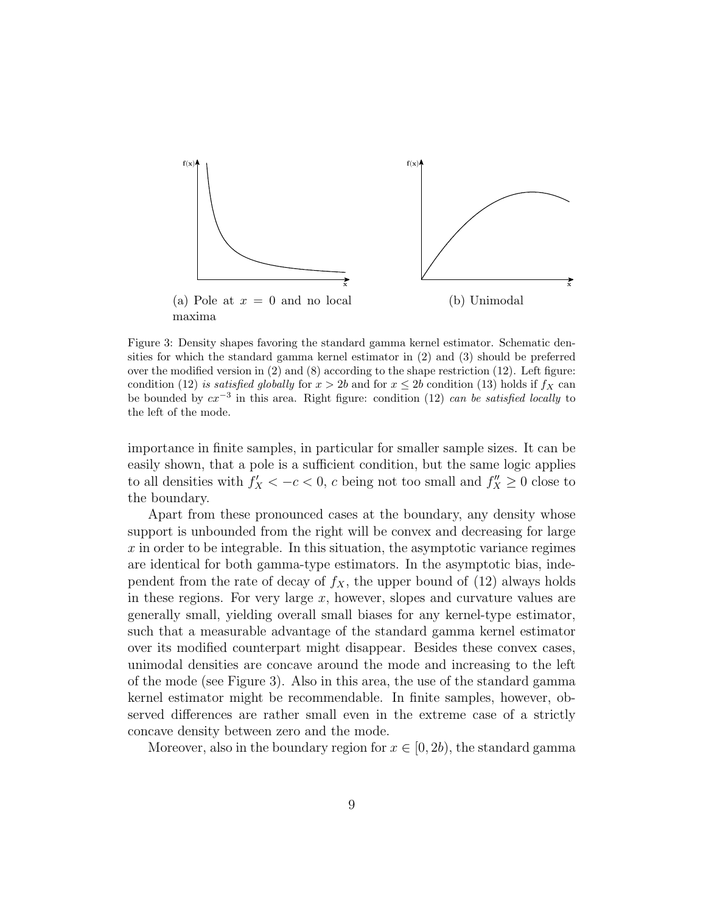

Figure 3: Density shapes favoring the standard gamma kernel estimator. Schematic densities for which the standard gamma kernel estimator in (2) and (3) should be preferred over the modified version in  $(2)$  and  $(8)$  according to the shape restriction  $(12)$ . Left figure: condition (12) is satisfied globally for  $x > 2b$  and for  $x \le 2b$  condition (13) holds if  $f_X$  can be bounded by  $cx^{-3}$  in this area. Right figure: condition (12) can be satisfied locally to the left of the mode.

importance in finite samples, in particular for smaller sample sizes. It can be easily shown, that a pole is a sufficient condition, but the same logic applies to all densities with  $f'_X < -c < 0$ , c being not too small and  $f''_X \ge 0$  close to the boundary.

Apart from these pronounced cases at the boundary, any density whose support is unbounded from the right will be convex and decreasing for large  $x$  in order to be integrable. In this situation, the asymptotic variance regimes are identical for both gamma-type estimators. In the asymptotic bias, independent from the rate of decay of  $f_X$ , the upper bound of (12) always holds in these regions. For very large  $x$ , however, slopes and curvature values are generally small, yielding overall small biases for any kernel-type estimator, such that a measurable advantage of the standard gamma kernel estimator over its modified counterpart might disappear. Besides these convex cases, unimodal densities are concave around the mode and increasing to the left of the mode (see Figure 3). Also in this area, the use of the standard gamma kernel estimator might be recommendable. In finite samples, however, observed differences are rather small even in the extreme case of a strictly concave density between zero and the mode.

Moreover, also in the boundary region for  $x \in [0, 2b)$ , the standard gamma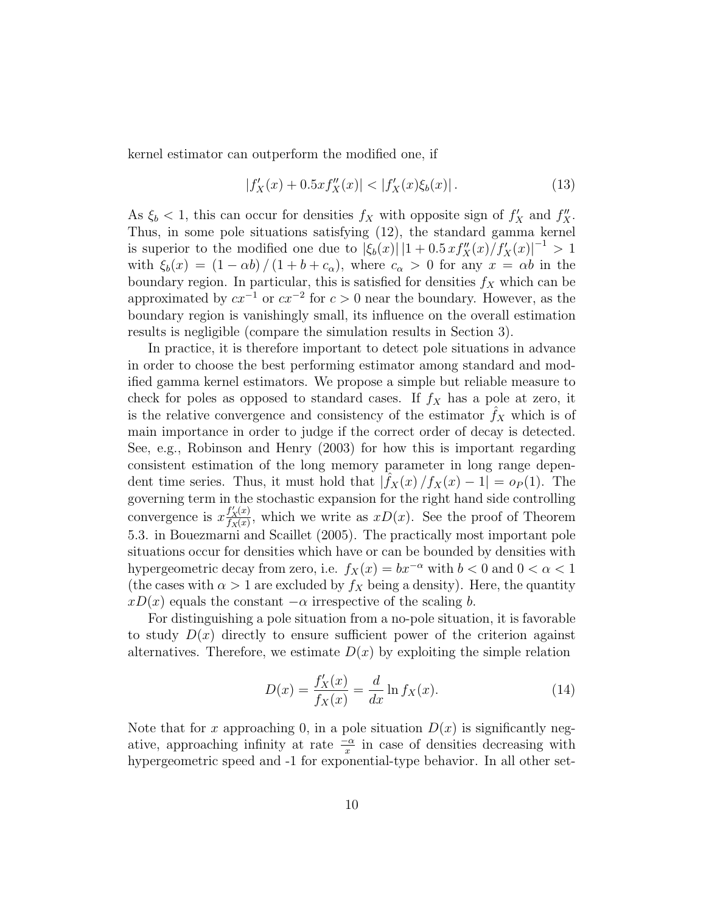kernel estimator can outperform the modified one, if

$$
|f'_X(x) + 0.5xf''_X(x)| < |f'_X(x)\xi_b(x)|. \tag{13}
$$

As  $\xi_b < 1$ , this can occur for densities  $f_X$  with opposite sign of  $f'_X$  and  $f''_X$ . Thus, in some pole situations satisfying (12), the standard gamma kernel is superior to the modified one due to  $|\xi_b(x)| |1 + 0.5 x f''_X(x)/f'_X(x)|^{-1} > 1$ with  $\xi_b(x) = (1 - \alpha b) / (1 + b + c_\alpha)$ , where  $c_\alpha > 0$  for any  $x = \alpha b$  in the boundary region. In particular, this is satisfied for densities  $f_X$  which can be approximated by  $cx^{-1}$  or  $cx^{-2}$  for  $c > 0$  near the boundary. However, as the boundary region is vanishingly small, its influence on the overall estimation results is negligible (compare the simulation results in Section 3).

In practice, it is therefore important to detect pole situations in advance in order to choose the best performing estimator among standard and modified gamma kernel estimators. We propose a simple but reliable measure to check for poles as opposed to standard cases. If  $f_X$  has a pole at zero, it is the relative convergence and consistency of the estimator  $f_X$  which is of main importance in order to judge if the correct order of decay is detected. See, e.g., Robinson and Henry (2003) for how this is important regarding consistent estimation of the long memory parameter in long range dependent time series. Thus, it must hold that  $|\hat{f}_X(x)/f_X(x) - 1| = o_P(1)$ . The governing term in the stochastic expansion for the right hand side controlling convergence is  $x \frac{f'_X(x)}{f_X(x)}$  $\frac{f_X(x)}{f_X(x)}$ , which we write as  $xD(x)$ . See the proof of Theorem 5.3. in Bouezmarni and Scaillet (2005). The practically most important pole situations occur for densities which have or can be bounded by densities with hypergeometric decay from zero, i.e.  $f_X(x) = bx^{-\alpha}$  with  $b < 0$  and  $0 < \alpha < 1$ (the cases with  $\alpha > 1$  are excluded by  $f_X$  being a density). Here, the quantity  $xD(x)$  equals the constant  $-\alpha$  irrespective of the scaling b.

For distinguishing a pole situation from a no-pole situation, it is favorable to study  $D(x)$  directly to ensure sufficient power of the criterion against alternatives. Therefore, we estimate  $D(x)$  by exploiting the simple relation

$$
D(x) = \frac{f'_X(x)}{f_X(x)} = \frac{d}{dx} \ln f_X(x).
$$
 (14)

Note that for x approaching 0, in a pole situation  $D(x)$  is significantly negative, approaching infinity at rate  $\frac{-\alpha}{x}$  in case of densities decreasing with hypergeometric speed and -1 for exponential-type behavior. In all other set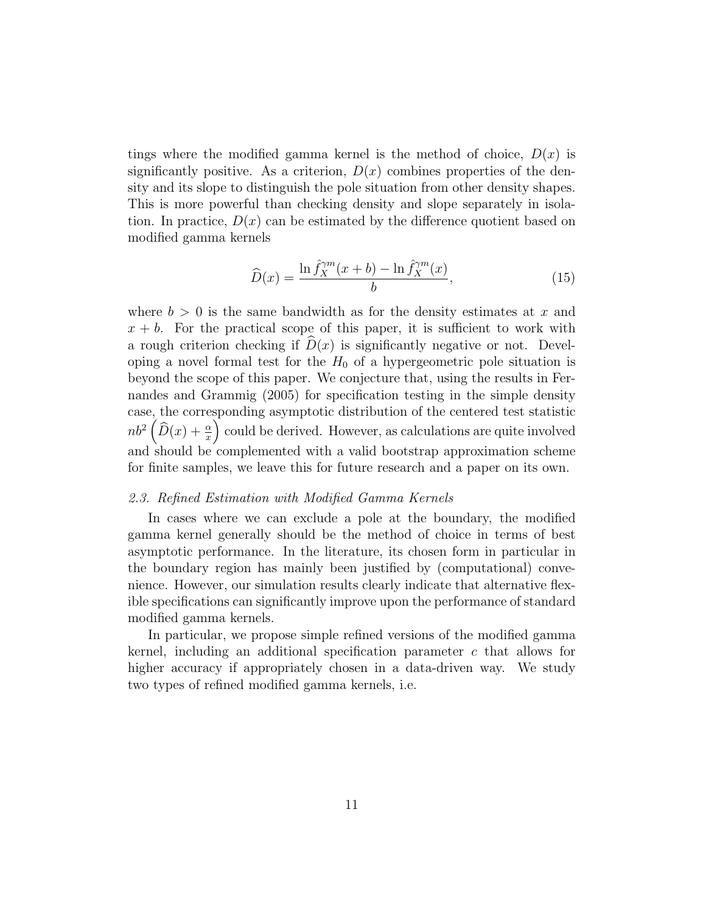tings where the modified gamma kernel is the method of choice,  $D(x)$  is significantly positive. As a criterion,  $D(x)$  combines properties of the density and its slope to distinguish the pole situation from other density shapes. This is more powerful than checking density and slope separately in isolation. In practice,  $D(x)$  can be estimated by the difference quotient based on modified gamma kernels

$$
\widehat{D}(x) = \frac{\ln \widehat{f}_X^{\gamma m}(x+b) - \ln \widehat{f}_X^{\gamma m}(x)}{b},\tag{15}
$$

where  $b > 0$  is the same bandwidth as for the density estimates at x and  $x + b$ . For the practical scope of this paper, it is sufficient to work with a rough criterion checking if  $D(x)$  is significantly negative or not. Developing a novel formal test for the  $H_0$  of a hypergeometric pole situation is beyond the scope of this paper. We conjecture that, using the results in Fernandes and Grammig (2005) for specification testing in the simple density case, the corresponding asymptotic distribution of the centered test statistic  $nb^2(\widehat{D}(x) + \frac{\alpha}{x})$  could be derived. However, as calculations are quite involved and should be complemented with a valid bootstrap approximation scheme for finite samples, we leave this for future research and a paper on its own.

#### 2.3. Refined Estimation with Modified Gamma Kernels

In cases where we can exclude a pole at the boundary, the modified gamma kernel generally should be the method of choice in terms of best asymptotic performance. In the literature, its chosen form in particular in the boundary region has mainly been justified by (computational) convenience. However, our simulation results clearly indicate that alternative flexible specifications can significantly improve upon the performance of standard modified gamma kernels.

In particular, we propose simple refined versions of the modified gamma kernel, including an additional specification parameter c that allows for higher accuracy if appropriately chosen in a data-driven way. We study two types of refined modified gamma kernels, i.e.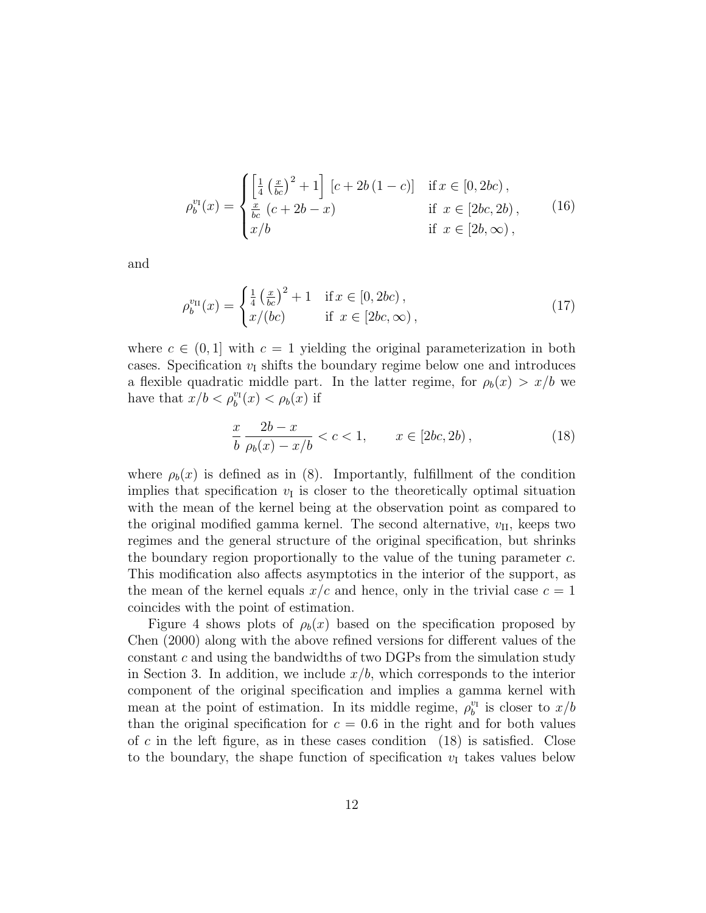$$
\rho_b^{v_I}(x) = \begin{cases} \left[\frac{1}{4} \left(\frac{x}{bc}\right)^2 + 1\right] \left[c + 2b(1-c)\right] & \text{if } x \in [0, 2bc),\\ \frac{x}{bc} \left(c + 2b - x\right) & \text{if } x \in [2bc, 2b),\\ x/b & \text{if } x \in [2b, \infty), \end{cases}
$$
(16)

and

$$
\rho_b^{v_{\rm II}}(x) = \begin{cases} \frac{1}{4} \left(\frac{x}{bc}\right)^2 + 1 & \text{if } x \in [0, 2bc), \\ x/(bc) & \text{if } x \in [2bc, \infty), \end{cases}
$$
(17)

where  $c \in (0,1]$  with  $c = 1$  yielding the original parameterization in both cases. Specification  $v<sub>I</sub>$  shifts the boundary regime below one and introduces a flexible quadratic middle part. In the latter regime, for  $\rho_b(x) > x/b$  we have that  $x/b < \rho_b^{v_I}(x) < \rho_b(x)$  if

$$
\frac{x}{b} \frac{2b - x}{\rho_b(x) - x/b} < c < 1, \qquad x \in [2bc, 2b), \tag{18}
$$

where  $\rho_b(x)$  is defined as in (8). Importantly, fulfillment of the condition implies that specification  $v_I$  is closer to the theoretically optimal situation with the mean of the kernel being at the observation point as compared to the original modified gamma kernel. The second alternative,  $v_{\text{II}}$ , keeps two regimes and the general structure of the original specification, but shrinks the boundary region proportionally to the value of the tuning parameter c. This modification also affects asymptotics in the interior of the support, as the mean of the kernel equals  $x/c$  and hence, only in the trivial case  $c = 1$ coincides with the point of estimation.

Figure 4 shows plots of  $\rho_b(x)$  based on the specification proposed by Chen (2000) along with the above refined versions for different values of the constant c and using the bandwidths of two DGPs from the simulation study in Section 3. In addition, we include  $x/b$ , which corresponds to the interior component of the original specification and implies a gamma kernel with mean at the point of estimation. In its middle regime,  $\rho_b^{v_I}$  is closer to  $x/b$ than the original specification for  $c = 0.6$  in the right and for both values of c in the left figure, as in these cases condition  $(18)$  is satisfied. Close to the boundary, the shape function of specification  $v<sub>I</sub>$  takes values below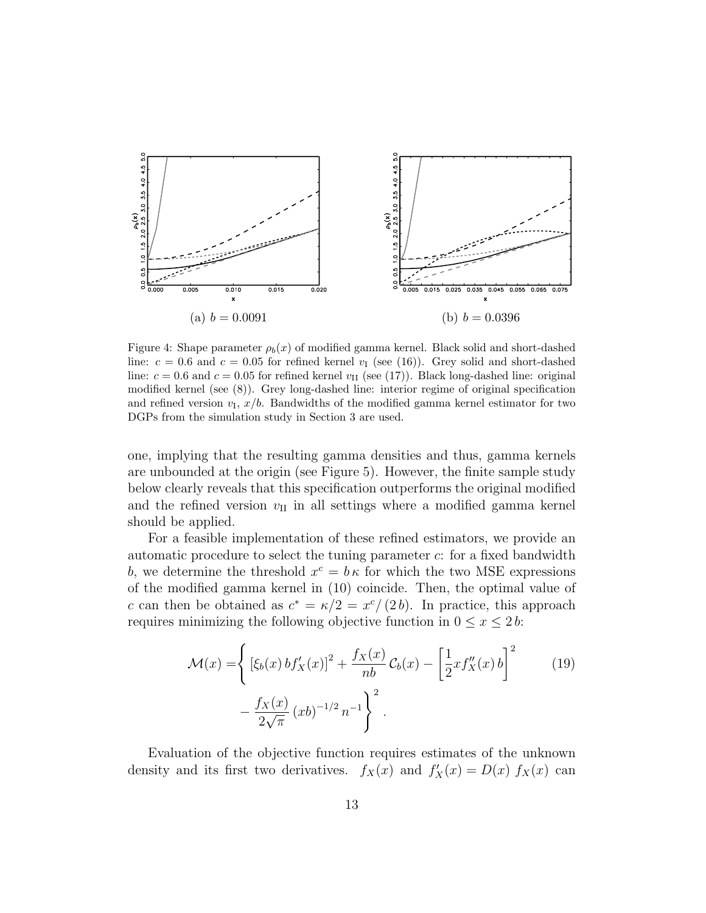

Figure 4: Shape parameter  $\rho_b(x)$  of modified gamma kernel. Black solid and short-dashed line:  $c = 0.6$  and  $c = 0.05$  for refined kernel  $v_I$  (see (16)). Grey solid and short-dashed line:  $c = 0.6$  and  $c = 0.05$  for refined kernel  $v_{II}$  (see (17)). Black long-dashed line: original modified kernel (see (8)). Grey long-dashed line: interior regime of original specification and refined version  $v_I, x/b$ . Bandwidths of the modified gamma kernel estimator for two DGPs from the simulation study in Section 3 are used.

one, implying that the resulting gamma densities and thus, gamma kernels are unbounded at the origin (see Figure 5). However, the finite sample study below clearly reveals that this specification outperforms the original modified and the refined version  $v_{II}$  in all settings where a modified gamma kernel should be applied.

For a feasible implementation of these refined estimators, we provide an automatic procedure to select the tuning parameter c: for a fixed bandwidth b, we determine the threshold  $x^c = b\kappa$  for which the two MSE expressions of the modified gamma kernel in (10) coincide. Then, the optimal value of c can then be obtained as  $c^* = \kappa/2 = x^c/(2b)$ . In practice, this approach requires minimizing the following objective function in  $0 \le x \le 2b$ :

$$
\mathcal{M}(x) = \left\{ \left[ \xi_b(x) b f'_X(x) \right]^2 + \frac{f_X(x)}{nb} \mathcal{C}_b(x) - \left[ \frac{1}{2} x f''_X(x) b \right]^2 - \frac{f_X(x)}{2\sqrt{\pi}} (xb)^{-1/2} n^{-1} \right\}^2.
$$
 (19)

Evaluation of the objective function requires estimates of the unknown density and its first two derivatives.  $f_X(x)$  and  $f'_X(x) = D(x) f_X(x)$  can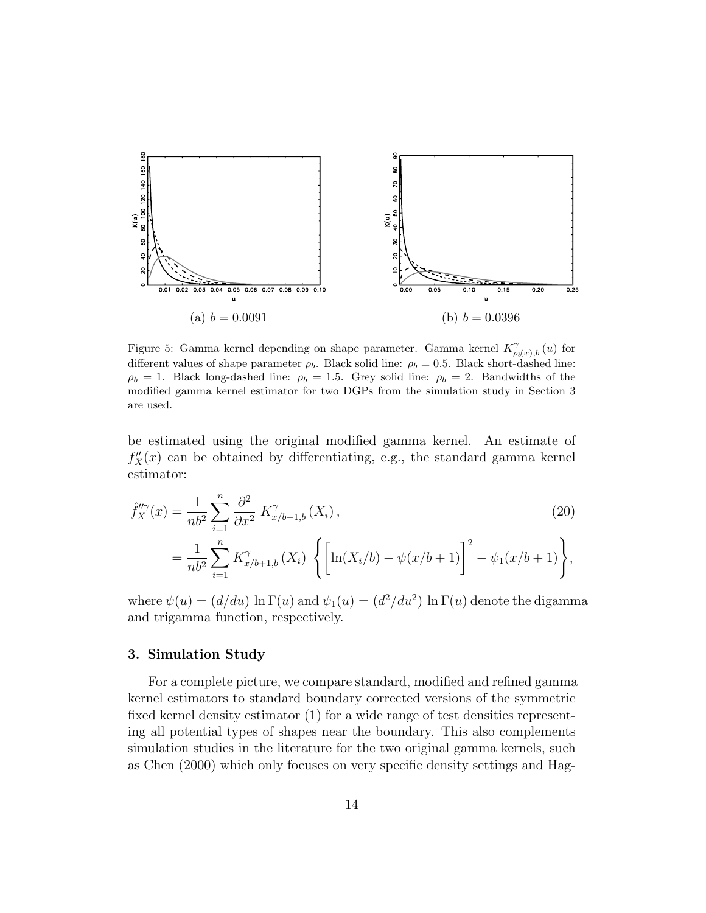

Figure 5: Gamma kernel depending on shape parameter. Gamma kernel  $K^{\gamma}_{\rho_b(x),b}(u)$  for different values of shape parameter  $\rho_b$ . Black solid line:  $\rho_b = 0.5$ . Black short-dashed line:  $\rho_b = 1$ . Black long-dashed line:  $\rho_b = 1.5$ . Grey solid line:  $\rho_b = 2$ . Bandwidths of the modified gamma kernel estimator for two DGPs from the simulation study in Section 3 are used.

be estimated using the original modified gamma kernel. An estimate of  $f''_X(x)$  can be obtained by differentiating, e.g., the standard gamma kernel estimator:

$$
\hat{f}_{X}^{\prime\prime\gamma}(x) = \frac{1}{nb^2} \sum_{i=1}^{n} \frac{\partial^2}{\partial x^2} K_{x/b+1,b}^{\gamma}(X_i),
$$
\n
$$
= \frac{1}{nb^2} \sum_{i=1}^{n} K_{x/b+1,b}^{\gamma}(X_i) \left\{ \left[ \ln(X_i/b) - \psi(x/b+1) \right]^2 - \psi_1(x/b+1) \right\},
$$
\n(20)

where  $\psi(u) = (d/du) \ln \Gamma(u)$  and  $\psi_1(u) = (d^2/du^2) \ln \Gamma(u)$  denote the digamma and trigamma function, respectively.

#### 3. Simulation Study

For a complete picture, we compare standard, modified and refined gamma kernel estimators to standard boundary corrected versions of the symmetric fixed kernel density estimator (1) for a wide range of test densities representing all potential types of shapes near the boundary. This also complements simulation studies in the literature for the two original gamma kernels, such as Chen (2000) which only focuses on very specific density settings and Hag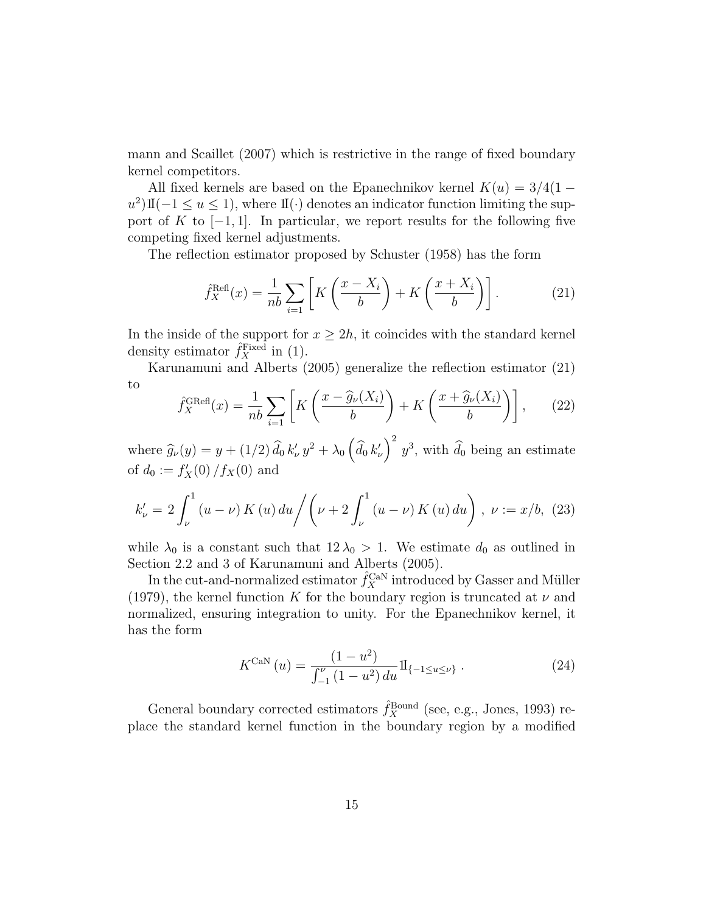mann and Scaillet (2007) which is restrictive in the range of fixed boundary kernel competitors.

All fixed kernels are based on the Epanechnikov kernel  $K(u) = 3/4(1$  $u^2$ )I(-1 ≤ u ≤ 1), where I(·) denotes an indicator function limiting the support of K to  $[-1, 1]$ . In particular, we report results for the following five competing fixed kernel adjustments.

The reflection estimator proposed by Schuster (1958) has the form

$$
\hat{f}_X^{\text{Refl}}(x) = \frac{1}{nb} \sum_{i=1}^n \left[ K \left( \frac{x - X_i}{b} \right) + K \left( \frac{x + X_i}{b} \right) \right]. \tag{21}
$$

In the inside of the support for  $x \geq 2h$ , it coincides with the standard kernel density estimator  $\hat{f}_X^{\text{Fixed}}$  in (1).

Karunamuni and Alberts (2005) generalize the reflection estimator (21) to

$$
\hat{f}_X^{\text{GRef}}(x) = \frac{1}{nb} \sum_{i=1}^n \left[ K \left( \frac{x - \hat{g}_\nu(X_i)}{b} \right) + K \left( \frac{x + \hat{g}_\nu(X_i)}{b} \right) \right],\tag{22}
$$

where  $\hat{g}_{\nu}(y) = y + (1/2) \hat{d}_0 k'_{\nu} y^2 + \lambda_0 (\hat{d}_0 k'_{\nu})^2 y^3$ , with  $\hat{d}_0$  being an estimate of  $d_0 := f'_X(0) / f_X(0)$  and

$$
k'_{\nu} = 2 \int_{\nu}^{1} (u - \nu) K(u) du / \left( \nu + 2 \int_{\nu}^{1} (u - \nu) K(u) du \right), \ \nu := x/b, \ (23)
$$

while  $\lambda_0$  is a constant such that  $12 \lambda_0 > 1$ . We estimate  $d_0$  as outlined in Section 2.2 and 3 of Karunamuni and Alberts (2005).

In the cut-and-normalized estimator  $\hat{f}_X^{\text{CaN}}$  introduced by Gasser and Müller (1979), the kernel function K for the boundary region is truncated at  $\nu$  and normalized, ensuring integration to unity. For the Epanechnikov kernel, it has the form

$$
K^{\text{CaN}}\left(u\right) = \frac{\left(1 - u^2\right)}{\int_{-1}^{\nu} \left(1 - u^2\right) du} \mathbb{I}_{\{-1 \le u \le \nu\}}\,. \tag{24}
$$

General boundary corrected estimators  $\hat{f}_X^{\text{Bound}}$  (see, e.g., Jones, 1993) replace the standard kernel function in the boundary region by a modified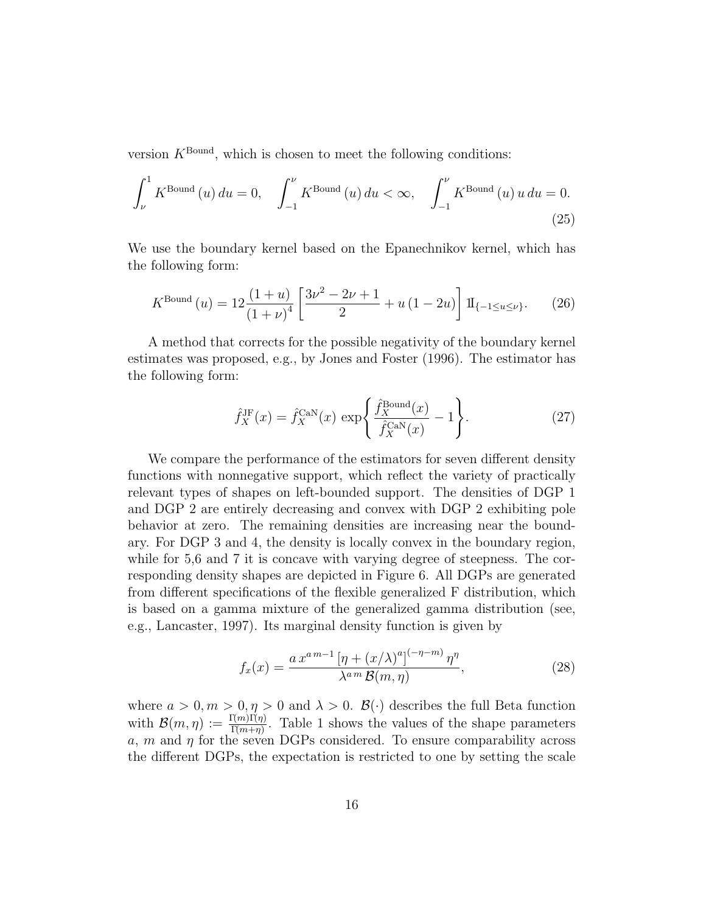version  $K^{\text{Bound}}$ , which is chosen to meet the following conditions:

$$
\int_{\nu}^{1} K^{\text{Bound}}(u) du = 0, \quad \int_{-1}^{\nu} K^{\text{Bound}}(u) du < \infty, \quad \int_{-1}^{\nu} K^{\text{Bound}}(u) u du = 0.
$$
\n(25)

We use the boundary kernel based on the Epanechnikov kernel, which has the following form:

$$
K^{\text{Bound}}\left(u\right) = 12 \frac{\left(1+u\right)}{\left(1+\nu\right)^4} \left[\frac{3\nu^2 - 2\nu + 1}{2} + u\left(1 - 2u\right)\right] \, \mathrm{II}_{\{-1 \le u \le \nu\}}.\tag{26}
$$

A method that corrects for the possible negativity of the boundary kernel estimates was proposed, e.g., by Jones and Foster (1996). The estimator has the following form:

$$
\hat{f}_X^{\text{JE}}(x) = \hat{f}_X^{\text{CaN}}(x) \, \exp\left\{ \frac{\hat{f}_X^{\text{Bound}}(x)}{\hat{f}_X^{\text{CaN}}(x)} - 1 \right\}.
$$
 (27)

We compare the performance of the estimators for seven different density functions with nonnegative support, which reflect the variety of practically relevant types of shapes on left-bounded support. The densities of DGP 1 and DGP 2 are entirely decreasing and convex with DGP 2 exhibiting pole behavior at zero. The remaining densities are increasing near the boundary. For DGP 3 and 4, the density is locally convex in the boundary region, while for 5,6 and 7 it is concave with varying degree of steepness. The corresponding density shapes are depicted in Figure 6. All DGPs are generated from different specifications of the flexible generalized F distribution, which is based on a gamma mixture of the generalized gamma distribution (see, e.g., Lancaster, 1997). Its marginal density function is given by

$$
f_x(x) = \frac{ax^{a\,m-1}\left[\eta + (x/\lambda)^a\right]^{(-\eta - m)}\eta^{\eta}}{\lambda^{a\,m}\,\mathcal{B}(m,\eta)},\tag{28}
$$

where  $a > 0, m > 0, \eta > 0$  and  $\lambda > 0$ .  $\mathcal{B}(\cdot)$  describes the full Beta function with  $\mathcal{B}(m,\eta) := \frac{\Gamma(m)\Gamma(\eta)}{\Gamma(m+\eta)}$ . Table 1 shows the values of the shape parameters  $a, m$  and  $\eta$  for the seven DGPs considered. To ensure comparability across the different DGPs, the expectation is restricted to one by setting the scale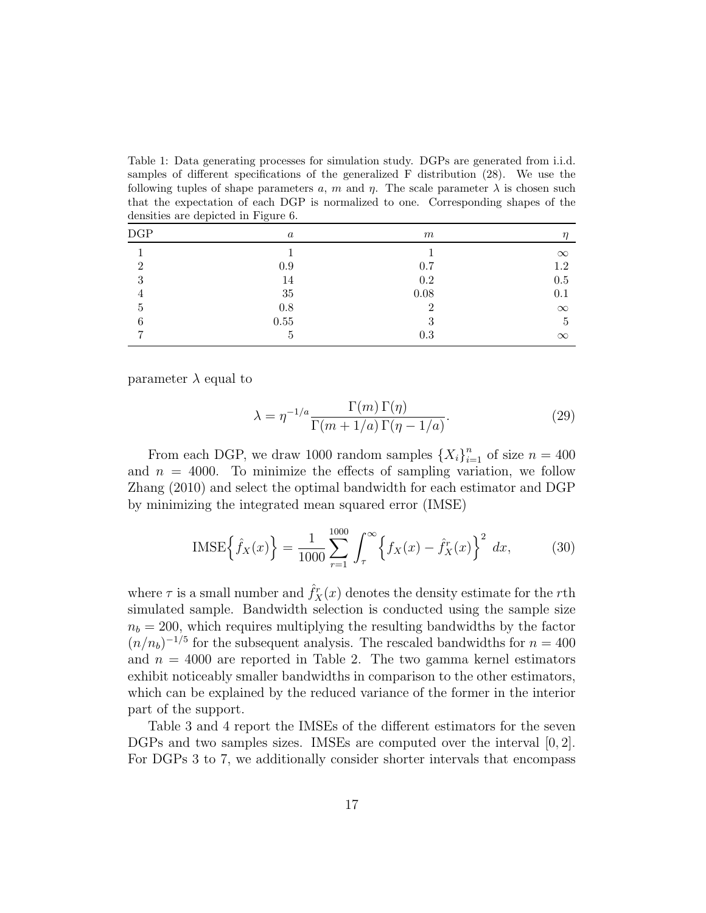Table 1: Data generating processes for simulation study. DGPs are generated from i.i.d. samples of different specifications of the generalized F distribution (28). We use the following tuples of shape parameters a, m and  $\eta$ . The scale parameter  $\lambda$  is chosen such that the expectation of each DGP is normalized to one. Corresponding shapes of the densities are depicted in Figure 6.

| $\operatorname{DGP}$ | $\boldsymbol{a}$ | m             | $\eta$       |
|----------------------|------------------|---------------|--------------|
|                      |                  |               | $\infty$     |
| റ                    | 0.9              | 0.7           | 1.2          |
| $\cdot$ 1            | 14               | 0.2           | $0.5\,$      |
|                      | $35\,$           | $0.08\,$      | 0.1          |
| Ð                    | 0.8              | റ             | $\infty$     |
| 6                    | $0.55\,$         | $\Omega$<br>U | $\mathbf{G}$ |
|                      | b                | 0.3           | $\infty$     |

parameter  $\lambda$  equal to

$$
\lambda = \eta^{-1/a} \frac{\Gamma(m)\,\Gamma(\eta)}{\Gamma(m+1/a)\,\Gamma(\eta-1/a)}.\tag{29}
$$

From each DGP, we draw 1000 random samples  $\{X_i\}_{i=1}^n$  of size  $n = 400$ and  $n = 4000$ . To minimize the effects of sampling variation, we follow Zhang (2010) and select the optimal bandwidth for each estimator and DGP by minimizing the integrated mean squared error (IMSE)

$$
IMSE\left\{\hat{f}_X(x)\right\} = \frac{1}{1000} \sum_{r=1}^{1000} \int_{\tau}^{\infty} \left\{f_X(x) - \hat{f}_X^r(x)\right\}^2 dx, \tag{30}
$$

where  $\tau$  is a small number and  $\hat{f}_X^r(x)$  denotes the density estimate for the rth simulated sample. Bandwidth selection is conducted using the sample size  $n_b = 200$ , which requires multiplying the resulting bandwidths by the factor  $(n/n_b)^{-1/5}$  for the subsequent analysis. The rescaled bandwidths for  $n = 400$ and  $n = 4000$  are reported in Table 2. The two gamma kernel estimators exhibit noticeably smaller bandwidths in comparison to the other estimators, which can be explained by the reduced variance of the former in the interior part of the support.

Table 3 and 4 report the IMSEs of the different estimators for the seven DGPs and two samples sizes. IMSEs are computed over the interval [0, 2]. For DGPs 3 to 7, we additionally consider shorter intervals that encompass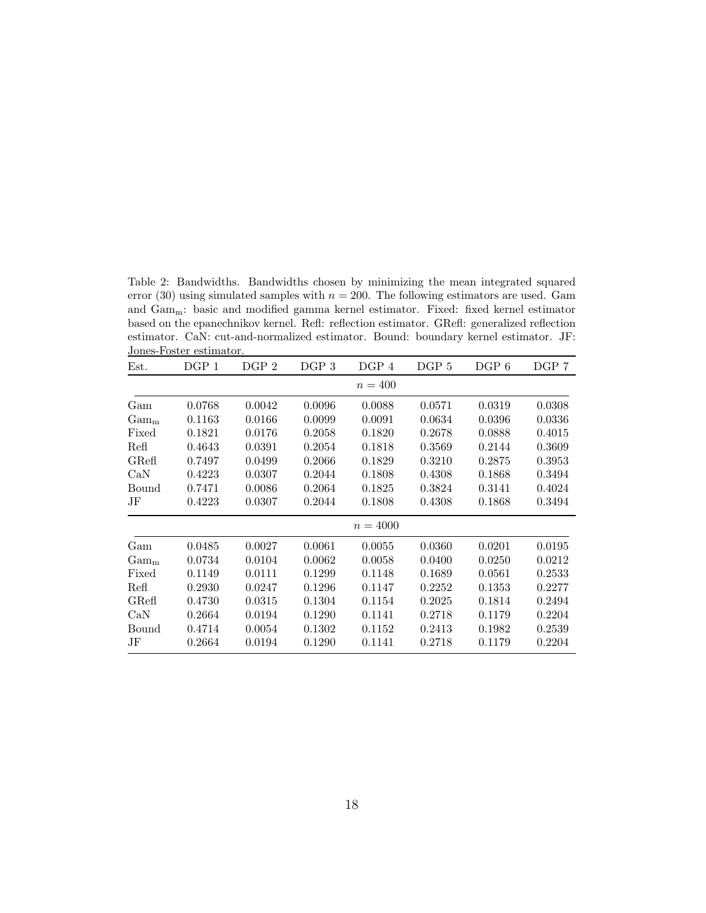Table 2: Bandwidths. Bandwidths chosen by minimizing the mean integrated squared error (30) using simulated samples with  $n = 200$ . The following estimators are used. Gam and Gamm: basic and modified gamma kernel estimator. Fixed: fixed kernel estimator based on the epanechnikov kernel. Refl: reflection estimator. GRefl: generalized reflection estimator. CaN: cut-and-normalized estimator. Bound: boundary kernel estimator. JF: Jones-Foster estimator.  $\overline{\phantom{a}}$ 

| Est.    | DGP 1  | DGP 2  | DGP 3  | DGP 4      | DGP 5  | $DGP_6$ | DGP 7  |
|---------|--------|--------|--------|------------|--------|---------|--------|
|         |        |        |        | $n = 400$  |        |         |        |
| Gam     | 0.0768 | 0.0042 | 0.0096 | 0.0088     | 0.0571 | 0.0319  | 0.0308 |
| $Gam_m$ | 0.1163 | 0.0166 | 0.0099 | 0.0091     | 0.0634 | 0.0396  | 0.0336 |
| Fixed   | 0.1821 | 0.0176 | 0.2058 | 0.1820     | 0.2678 | 0.0888  | 0.4015 |
| Refl    | 0.4643 | 0.0391 | 0.2054 | 0.1818     | 0.3569 | 0.2144  | 0.3609 |
| GRef    | 0.7497 | 0.0499 | 0.2066 | 0.1829     | 0.3210 | 0.2875  | 0.3953 |
| CaN     | 0.4223 | 0.0307 | 0.2044 | 0.1808     | 0.4308 | 0.1868  | 0.3494 |
| Bound   | 0.7471 | 0.0086 | 0.2064 | 0.1825     | 0.3824 | 0.3141  | 0.4024 |
| JF      | 0.4223 | 0.0307 | 0.2044 | 0.1808     | 0.4308 | 0.1868  | 0.3494 |
|         |        |        |        | $n = 4000$ |        |         |        |
| Gam     | 0.0485 | 0.0027 | 0.0061 | 0.0055     | 0.0360 | 0.0201  | 0.0195 |
| $Gam_m$ | 0.0734 | 0.0104 | 0.0062 | 0.0058     | 0.0400 | 0.0250  | 0.0212 |
| Fixed   | 0.1149 | 0.0111 | 0.1299 | 0.1148     | 0.1689 | 0.0561  | 0.2533 |
| Refl    | 0.2930 | 0.0247 | 0.1296 | 0.1147     | 0.2252 | 0.1353  | 0.2277 |
| GRef    | 0.4730 | 0.0315 | 0.1304 | 0.1154     | 0.2025 | 0.1814  | 0.2494 |
| CaN     | 0.2664 | 0.0194 | 0.1290 | 0.1141     | 0.2718 | 0.1179  | 0.2204 |
| Bound   | 0.4714 | 0.0054 | 0.1302 | 0.1152     | 0.2413 | 0.1982  | 0.2539 |
| JF      | 0.2664 | 0.0194 | 0.1290 | 0.1141     | 0.2718 | 0.1179  | 0.2204 |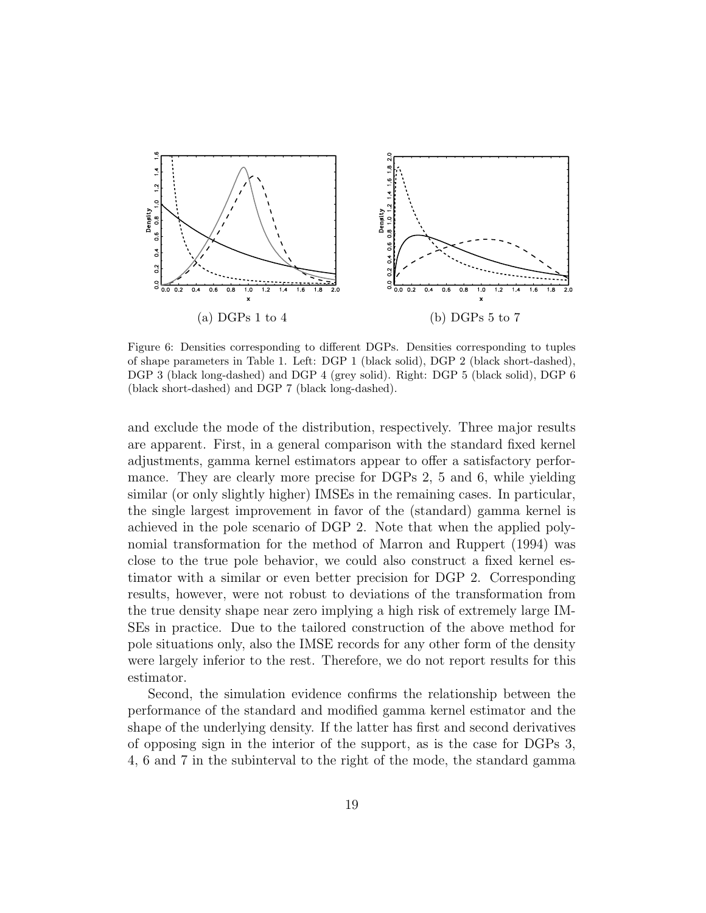

Figure 6: Densities corresponding to different DGPs. Densities corresponding to tuples of shape parameters in Table 1. Left: DGP 1 (black solid), DGP 2 (black short-dashed), DGP 3 (black long-dashed) and DGP 4 (grey solid). Right: DGP 5 (black solid), DGP 6 (black short-dashed) and DGP 7 (black long-dashed).

and exclude the mode of the distribution, respectively. Three major results are apparent. First, in a general comparison with the standard fixed kernel adjustments, gamma kernel estimators appear to offer a satisfactory performance. They are clearly more precise for DGPs 2, 5 and 6, while yielding similar (or only slightly higher) IMSEs in the remaining cases. In particular, the single largest improvement in favor of the (standard) gamma kernel is achieved in the pole scenario of DGP 2. Note that when the applied polynomial transformation for the method of Marron and Ruppert (1994) was close to the true pole behavior, we could also construct a fixed kernel estimator with a similar or even better precision for DGP 2. Corresponding results, however, were not robust to deviations of the transformation from the true density shape near zero implying a high risk of extremely large IM-SEs in practice. Due to the tailored construction of the above method for pole situations only, also the IMSE records for any other form of the density were largely inferior to the rest. Therefore, we do not report results for this estimator.

Second, the simulation evidence confirms the relationship between the performance of the standard and modified gamma kernel estimator and the shape of the underlying density. If the latter has first and second derivatives of opposing sign in the interior of the support, as is the case for DGPs 3, 4, 6 and 7 in the subinterval to the right of the mode, the standard gamma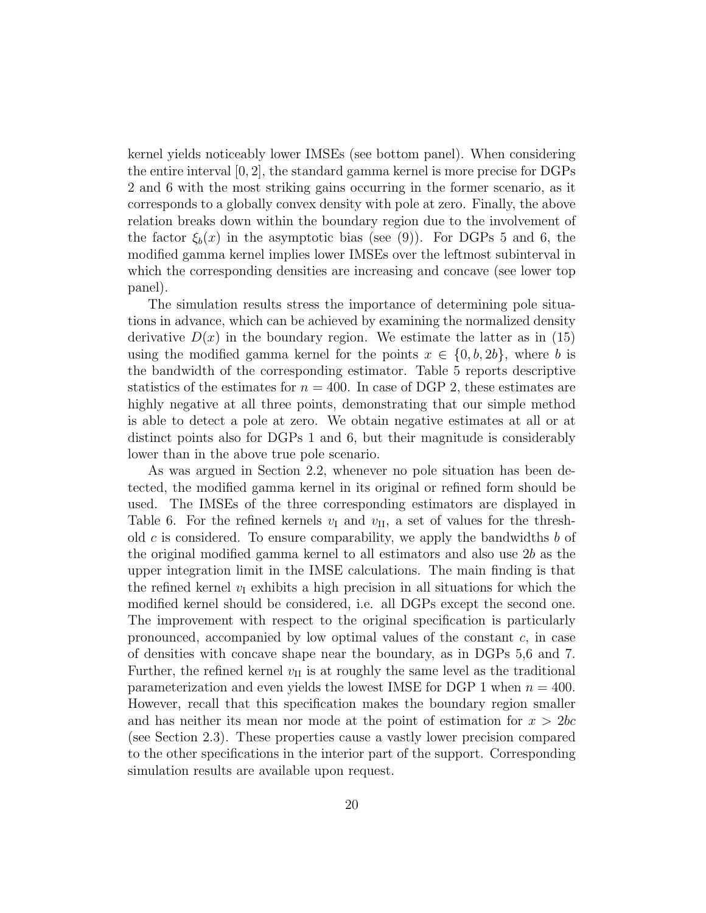kernel yields noticeably lower IMSEs (see bottom panel). When considering the entire interval  $[0, 2]$ , the standard gamma kernel is more precise for DGPs 2 and 6 with the most striking gains occurring in the former scenario, as it corresponds to a globally convex density with pole at zero. Finally, the above relation breaks down within the boundary region due to the involvement of the factor  $\xi_b(x)$  in the asymptotic bias (see (9)). For DGPs 5 and 6, the modified gamma kernel implies lower IMSEs over the leftmost subinterval in which the corresponding densities are increasing and concave (see lower top panel).

The simulation results stress the importance of determining pole situations in advance, which can be achieved by examining the normalized density derivative  $D(x)$  in the boundary region. We estimate the latter as in (15) using the modified gamma kernel for the points  $x \in \{0, b, 2b\}$ , where b is the bandwidth of the corresponding estimator. Table 5 reports descriptive statistics of the estimates for  $n = 400$ . In case of DGP 2, these estimates are highly negative at all three points, demonstrating that our simple method is able to detect a pole at zero. We obtain negative estimates at all or at distinct points also for DGPs 1 and 6, but their magnitude is considerably lower than in the above true pole scenario.

As was argued in Section 2.2, whenever no pole situation has been detected, the modified gamma kernel in its original or refined form should be used. The IMSEs of the three corresponding estimators are displayed in Table 6. For the refined kernels  $v_I$  and  $v_{II}$ , a set of values for the threshold c is considered. To ensure comparability, we apply the bandwidths  $b$  of the original modified gamma kernel to all estimators and also use 2b as the upper integration limit in the IMSE calculations. The main finding is that the refined kernel  $v<sub>I</sub>$  exhibits a high precision in all situations for which the modified kernel should be considered, i.e. all DGPs except the second one. The improvement with respect to the original specification is particularly pronounced, accompanied by low optimal values of the constant  $c$ , in case of densities with concave shape near the boundary, as in DGPs 5,6 and 7. Further, the refined kernel  $v_{II}$  is at roughly the same level as the traditional parameterization and even yields the lowest IMSE for DGP 1 when  $n = 400$ . However, recall that this specification makes the boundary region smaller and has neither its mean nor mode at the point of estimation for  $x > 2bc$ (see Section 2.3). These properties cause a vastly lower precision compared to the other specifications in the interior part of the support. Corresponding simulation results are available upon request.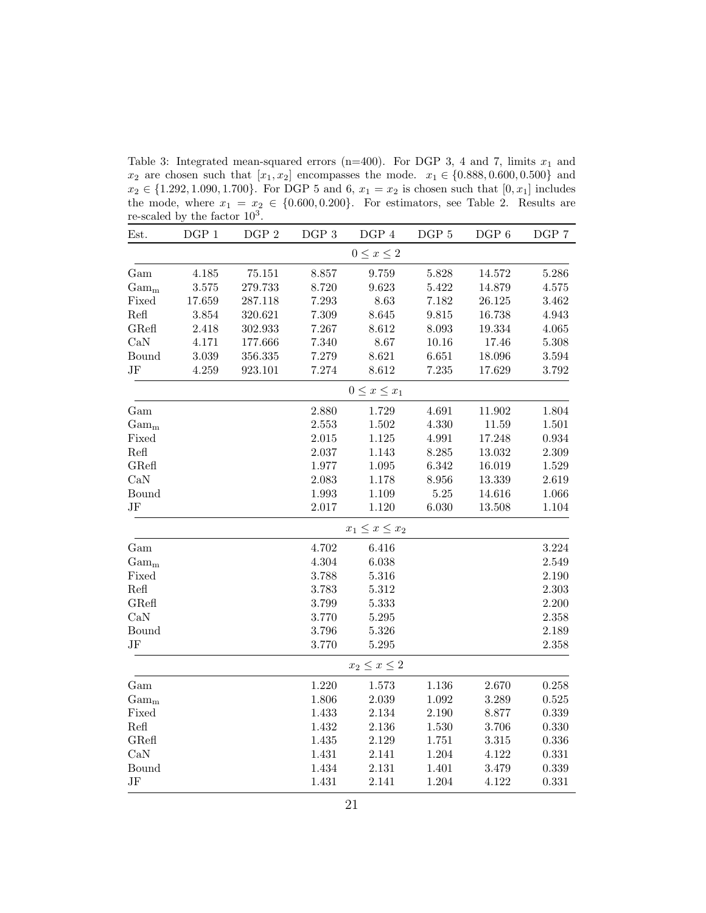Table 3: Integrated mean-squared errors (n=400). For DGP 3, 4 and 7, limits  $x_1$  and  $x_2$  are chosen such that  $[x_1, x_2]$  encompasses the mode.  $x_1 \in \{0.888, 0.600, 0.500\}$  and  $x_2 \in \{1.292, 1.090, 1.700\}$ . For DGP 5 and 6,  $x_1 = x_2$  is chosen such that  $[0, x_1]$  includes the mode, where  $x_1 = x_2 \in \{0.600, 0.200\}$ . For estimators, see Table 2. Results are re-scaled by the factor  $10^3$ .

| Est.             | DGP <sub>1</sub> | DGP 2   | $DGP$ 3 | $\rm DGP$ 4           | DGP 5 | DGP 6  | DGP 7       |
|------------------|------------------|---------|---------|-----------------------|-------|--------|-------------|
|                  |                  |         |         | $0 \leq x \leq 2$     |       |        |             |
| Gam              | 4.185            | 75.151  | 8.857   | 9.759                 | 5.828 | 14.572 | 5.286       |
| $\mathrm{Gam}_m$ | 3.575            | 279.733 | 8.720   | 9.623                 | 5.422 | 14.879 | 4.575       |
| Fixed            | 17.659           | 287.118 | 7.293   | 8.63                  | 7.182 | 26.125 | 3.462       |
| Refl             | 3.854            | 320.621 | 7.309   | 8.645                 | 9.815 | 16.738 | 4.943       |
| GRefl            | 2.418            | 302.933 | 7.267   | 8.612                 | 8.093 | 19.334 | 4.065       |
| CaN              | 4.171            | 177.666 | 7.340   | 8.67                  | 10.16 | 17.46  | 5.308       |
| Bound            | 3.039            | 356.335 | 7.279   | 8.621                 | 6.651 | 18.096 | $3.594\,$   |
| $\rm{JF}$        | 4.259            | 923.101 | 7.274   | 8.612                 | 7.235 | 17.629 | $3.792\,$   |
|                  |                  |         |         | $0 \leq x \leq x_1$   |       |        |             |
| Gam              |                  |         | 2.880   | 1.729                 | 4.691 | 11.902 | $1.804\,$   |
| $Gam_m$          |                  |         | 2.553   | 1.502                 | 4.330 | 11.59  | 1.501       |
| Fixed            |                  |         | 2.015   | 1.125                 | 4.991 | 17.248 | 0.934       |
| Refl             |                  |         | 2.037   | 1.143                 | 8.285 | 13.032 | 2.309       |
| GRefl            |                  |         | 1.977   | 1.095                 | 6.342 | 16.019 | 1.529       |
| CaN              |                  |         | 2.083   | 1.178                 | 8.956 | 13.339 | 2.619       |
| Bound            |                  |         | 1.993   | 1.109                 | 5.25  | 14.616 | 1.066       |
| JF               |                  |         | 2.017   | 1.120                 | 6.030 | 13.508 | 1.104       |
|                  |                  |         |         | $x_1 \leq x \leq x_2$ |       |        |             |
| Gam              |                  |         | 4.702   | 6.416                 |       |        | 3.224       |
| $Gam_m$          |                  |         | 4.304   | 6.038                 |       |        | $\;\:2.549$ |
| Fixed            |                  |         | 3.788   | 5.316                 |       |        | 2.190       |
| Refl             |                  |         | 3.783   | 5.312                 |       |        | 2.303       |
| GRefl            |                  |         | 3.799   | 5.333                 |       |        | 2.200       |
| CaN              |                  |         | 3.770   | 5.295                 |       |        | 2.358       |
| Bound            |                  |         | 3.796   | 5.326                 |       |        | 2.189       |
| JF               |                  |         | 3.770   | 5.295                 |       |        | 2.358       |
|                  |                  |         |         | $x_2 \leq x \leq 2$   |       |        |             |
| Gam              |                  |         | 1.220   | 1.573                 | 1.136 | 2.670  | 0.258       |
| $\mathrm{Gam}_m$ |                  |         | 1.806   | $2.039\,$             | 1.092 | 3.289  | 0.525       |
| Fixed            |                  |         | 1.433   | $2.134\,$             | 2.190 | 8.877  | 0.339       |
| Refl             |                  |         | 1.432   | $2.136\,$             | 1.530 | 3.706  | 0.330       |
| GRefl            |                  |         | 1.435   | 2.129                 | 1.751 | 3.315  | 0.336       |
| CaN              |                  |         | 1.431   | 2.141                 | 1.204 | 4.122  | ${0.331}$   |
| Bound            |                  |         | 1.434   | 2.131                 | 1.401 | 3.479  | 0.339       |
| JF               |                  |         | 1.431   | 2.141                 | 1.204 | 4.122  | 0.331       |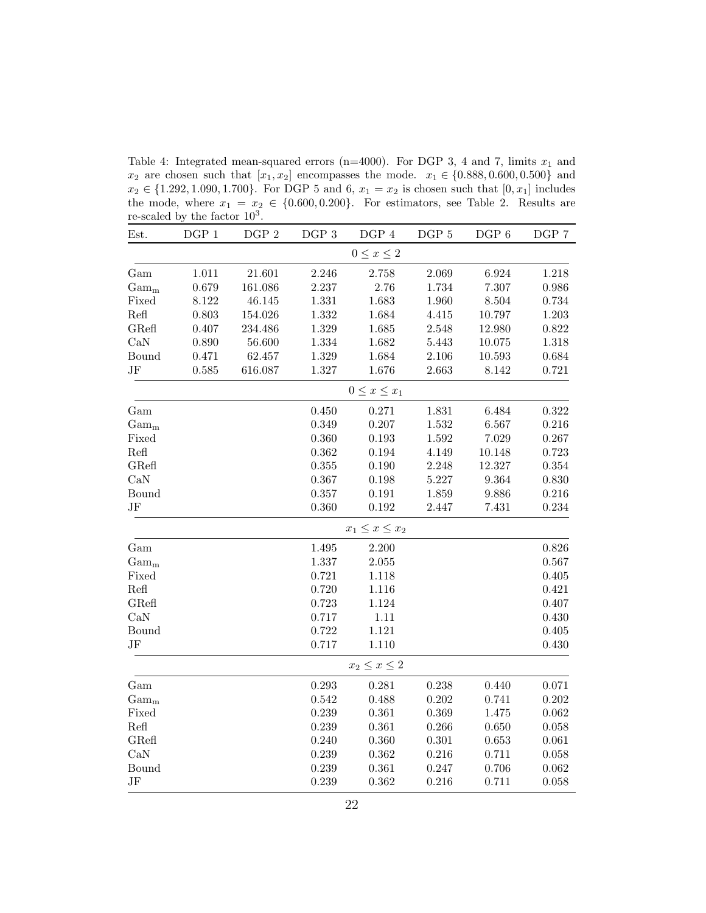re-scaled by the factor  $10^3$ . Est. DGP 1 DGP 2 DGP 3 DGP 4 DGP 5 DGP 6 DGP 7  $0 \leq x \leq 2$ Gam 1.011 21.601 2.246 2.758 2.069 6.924 1.218  $\text{Gam}_{\text{m}}$  0.679 161.086 2.237 2.76 1.734 7.307 0.986 Fixed 8.122 46.145 1.331 1.683 1.960 8.504 0.734 Refl 0.803 154.026 1.332 1.684 4.415 10.797 1.203 GRefl 0.407 234.486 1.329 1.685 2.548 12.980 0.822 CaN 0.890 56.600 1.334 1.682 5.443 10.075 1.318 Bound 0.471 62.457 1.329 1.684 2.106 10.593 0.684 JF 0.585 616.087 1.327 1.676 2.663 8.142 0.721  $0 \leq x \leq x_1$ Gam 0.450 0.271 1.831 6.484 0.322 Gam<sub>m</sub> 6.567 0.349 0.207 1.532 6.567 0.216 Fixed 0.360 0.193 1.592 7.029 0.267 Refl 0.362 0.194 4.149 10.148 0.723 GRefl 6.355 0.190 2.248 12.327 0.354 CaN 0.367 0.198 5.227 9.364 0.830 Bound 0.357 0.191 1.859 9.886 0.216 JF 0.360 0.192 2.447 7.431 0.234  $x_1 \leq x \leq x_2$ Gam 1.495 2.200 0.826  $\text{Gam}_{\text{m}}$  1.337 2.055 0.567 Fixed 0.721 1.118 0.405 Refl 0.720 1.116 0.421 GRefl 0.723 1.124 0.407 CaN 0.717 1.11 0.430 Bound 0.722 1.121 0.405 JF 0.717 1.110 0.430  $x_2 \leq x \leq 2$ Gam 0.293 0.281 0.238 0.440 0.071 Gam<sub>m</sub> 0.542 0.488 0.202 0.741 0.202 Fixed 0.239 0.361 0.369 1.475 0.062 Refl 0.239 0.361 0.266 0.650 0.058 GRefl 0.240 0.360 0.301 0.653 0.061 CaN 0.239 0.362 0.216 0.711 0.058 Bound 0.239 0.361 0.247 0.706 0.062 JF 0.239 0.362 0.216 0.711 0.058

Table 4: Integrated mean-squared errors (n=4000). For DGP 3, 4 and 7, limits  $x_1$  and  $x_2$  are chosen such that  $[x_1, x_2]$  encompasses the mode.  $x_1 \in \{0.888, 0.600, 0.500\}$  and  $x_2 \in \{1.292, 1.090, 1.700\}$ . For DGP 5 and 6,  $x_1 = x_2$  is chosen such that  $[0, x_1]$  includes the mode, where  $x_1 = x_2 \in \{0.600, 0.200\}$ . For estimators, see Table 2. Results are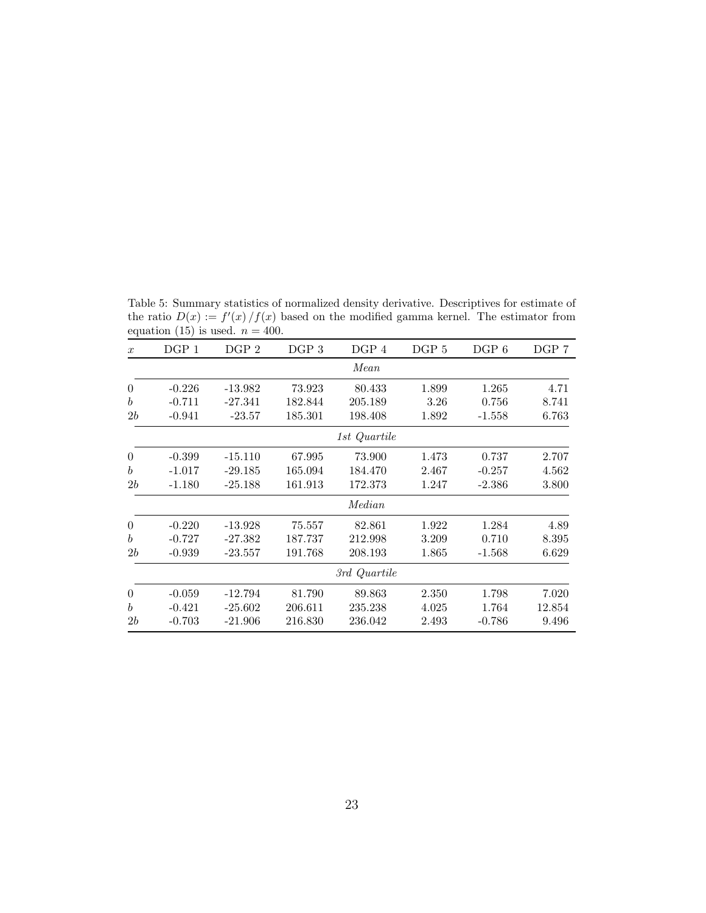|                  |          | equation (15) is used. $n = 400$ . |                  |              |                  |          |       |
|------------------|----------|------------------------------------|------------------|--------------|------------------|----------|-------|
| $\boldsymbol{x}$ | DGP 1    | DGP <sub>2</sub>                   | DGP <sub>3</sub> | DGP 4        | DGP <sub>5</sub> | $DGP_6$  | DGP 7 |
|                  |          |                                    |                  | Mean         |                  |          |       |
| $\theta$         | $-0.226$ | $-13.982$                          | 73.923           | 80.433       | 1.899            | 1.265    | 4.71  |
| $\boldsymbol{b}$ | $-0.711$ | $-27.341$                          | 182.844          | 205.189      | 3.26             | 0.756    | 8.741 |
| 2b               | $-0.941$ | $-23.57$                           | 185.301          | 198.408      | 1.892            | $-1.558$ | 6.763 |
|                  |          |                                    |                  | 1st Quartile |                  |          |       |
| $\overline{0}$   | $-0.399$ | $-15.110$                          | 67.995           | 73.900       | 1.473            | 0.737    | 2.707 |
| $\boldsymbol{b}$ | $-1.017$ | $-29.185$                          | 165.094          | 184.470      | 2.467            | $-0.257$ | 4.562 |
| 2b               | $-1.180$ | $-25.188$                          | 161.913          | 172.373      | 1.247            | $-2.386$ | 3.800 |
|                  |          |                                    |                  | Median       |                  |          |       |
| $\theta$         | $-0.220$ | $-13.928$                          | 75.557           | 82.861       | 1.922            | 1.284    | 4.89  |
| $\boldsymbol{b}$ | $-0.727$ | $-27.382$                          | 187.737          | 212.998      | 3.209            | 0.710    | 8.395 |
| 2b               | $-0.939$ | $-23.557$                          | 191.768          | 208.193      | 1.865            | $-1.568$ | 6.629 |
|                  |          |                                    |                  | 3rd Quartile |                  |          |       |

0 -0.059 -12.794 81.790 89.863 2.350 1.798 7.020 b -0.421 -25.602 206.611 235.238 4.025 1.764 12.854 2b -0.703 -21.906 216.830 236.042 2.493 -0.786 9.496

Table 5: Summary statistics of normalized density derivative. Descriptives for estimate of the ratio  $D(x) := f'(x)/f(x)$  based on the modified gamma kernel. The estimator from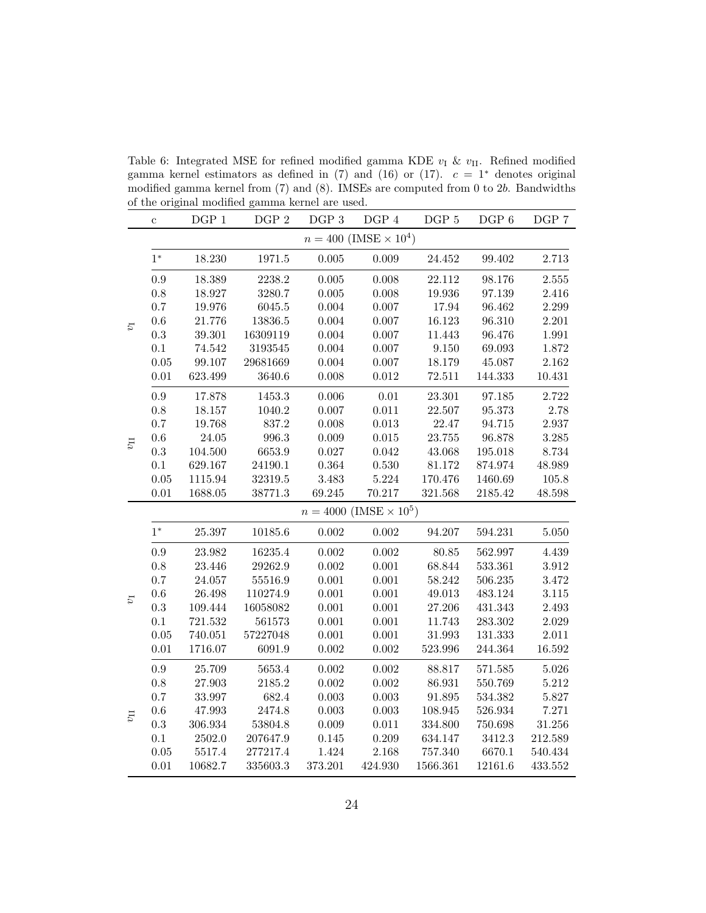Table 6: Integrated MSE for refined modified gamma KDE  $v_I$  &  $v_{II}$ . Refined modified gamma kernel estimators as defined in (7) and (16) or (17).  $c = 1^*$  denotes original modified gamma kernel from (7) and (8). IMSEs are computed from 0 to 2b. Bandwidths of the original modified gamma kernel are used.

|              | $\mathbf c$ | DGP 1     | DGP 2    | DGP 3     | DGP 4                            | DGP 5      | DGP 6                 | DGP 7      |
|--------------|-------------|-----------|----------|-----------|----------------------------------|------------|-----------------------|------------|
|              |             |           |          |           | $n = 400$ (IMSE $\times 10^4$ )  |            |                       |            |
|              | $1^\ast$    | 18.230    | 1971.5   | $0.005\,$ | $0.009\,$                        | 24.452     | 99.402                | 2.713      |
|              | $\rm 0.9$   | 18.389    | 2238.2   | $0.005\,$ | 0.008                            | 22.112     | 98.176                | $2.555\,$  |
|              | $0.8\,$     | 18.927    | 3280.7   | $0.005\,$ | 0.008                            | 19.936     | 97.139                | $2.416\,$  |
|              | 0.7         | 19.976    | 6045.5   | 0.004     | 0.007                            | 17.94      | 96.462                | $2.299\,$  |
| $U_1$        | $0.6\,$     | 21.776    | 13836.5  | $0.004\,$ | $0.007\,$                        | 16.123     | 96.310                | $2.201\,$  |
|              | 0.3         | 39.301    | 16309119 | 0.004     | $0.007\,$                        | 11.443     | 96.476                | 1.991      |
|              | 0.1         | 74.542    | 3193545  | $0.004\,$ | $0.007\,$                        | $9.150\,$  | 69.093                | 1.872      |
|              | $0.05\,$    | 99.107    | 29681669 | $0.004\,$ | $0.007\,$                        | 18.179     | 45.087                | $2.162\,$  |
|              | $0.01\,$    | 623.499   | 3640.6   | $0.008\,$ | $0.012\,$                        | $72.511\,$ | $144.333\,$           | $10.431\,$ |
|              | 0.9         | 17.878    | 1453.3   | $0.006\,$ | $0.01\,$                         | 23.301     | 97.185                | 2.722      |
|              | $0.8\,$     | 18.157    | 1040.2   | $0.007\,$ | $0.011\,$                        | 22.507     | $\boldsymbol{95.373}$ | $2.78\,$   |
|              | 0.7         | 19.768    | 837.2    | $0.008\,$ | $0.013\,$                        | 22.47      | 94.715                | $2.937\,$  |
| $U_{II}$     | $0.6\,$     | $24.05\,$ | 996.3    | 0.009     | $0.015\,$                        | $23.755\,$ | 96.878                | $3.285\,$  |
|              | $\rm 0.3$   | 104.500   | 6653.9   | 0.027     | $\,0.042\,$                      | 43.068     | 195.018               | 8.734      |
|              | 0.1         | 629.167   | 24190.1  | $0.364\,$ | 0.530                            | 81.172     | 874.974               | 48.989     |
|              | $0.05\,$    | 1115.94   | 32319.5  | 3.483     | $5.224\,$                        | 170.476    | 1460.69               | 105.8      |
|              | $0.01\,$    | 1688.05   | 38771.3  | 69.245    | $70.217\,$                       | 321.568    | 2185.42               | 48.598     |
|              |             |           |          |           | $n = 4000$ (IMSE $\times 10^5$ ) |            |                       |            |
|              | $1^\ast$    | 25.397    | 10185.6  | $0.002\,$ | $0.002\,$                        | 94.207     | 594.231               | $5.050\,$  |
|              | $0.9\,$     | 23.982    | 16235.4  | $0.002\,$ | $0.002\,$                        | $80.85\,$  | 562.997               | 4.439      |
|              | $0.8\,$     | 23.446    | 29262.9  | $0.002\,$ | 0.001                            | 68.844     | 533.361               | $3.912\,$  |
|              | 0.7         | 24.057    | 55516.9  | $0.001\,$ | 0.001                            | 58.242     | 506.235               | 3.472      |
| $U_1$        | $0.6\,$     | 26.498    | 110274.9 | $0.001\,$ | $0.001\,$                        | 49.013     | 483.124               | $3.115\,$  |
|              | 0.3         | 109.444   | 16058082 | $0.001\,$ | 0.001                            | 27.206     | 431.343               | 2.493      |
|              | 0.1         | 721.532   | 561573   | 0.001     | 0.001                            | 11.743     | 283.302               | 2.029      |
|              | $0.05\,$    | 740.051   | 57227048 | $0.001\,$ | $0.001\,$                        | 31.993     | 131.333               | $2.011\,$  |
|              | 0.01        | 1716.07   | 6091.9   | $0.002\,$ | $0.002\,$                        | 523.996    | 244.364               | 16.592     |
|              | $\rm 0.9$   | 25.709    | 5653.4   | $0.002\,$ | $0.002\,$                        | 88.817     | 571.585               | $5.026\,$  |
|              | $0.8\,$     | 27.903    | 2185.2   | $0.002\,$ | $0.002\,$                        | 86.931     | 550.769               | 5.212      |
|              | $0.7\,$     | 33.997    | 682.4    | 0.003     | $0.003\,$                        | 91.895     | 534.382               | $5.827\,$  |
| $v_{\rm II}$ | $0.6\,$     | 47.993    | 2474.8   | 0.003     | $0.003\,$                        | 108.945    | $526.934\,$           | $7.271\,$  |
|              | $\rm 0.3$   | 306.934   | 53804.8  | 0.009     | 0.011                            | 334.800    | 750.698               | $31.256\,$ |
|              | 0.1         | 2502.0    | 207647.9 | $0.145\,$ | 0.209                            | 634.147    | 3412.3                | 212.589    |
|              | $0.05\,$    | 5517.4    | 277217.4 | 1.424     | 2.168                            | 757.340    | 6670.1                | 540.434    |
|              | $0.01\,$    | 10682.7   | 335603.3 | 373.201   | 424.930                          | 1566.361   | 12161.6               | 433.552    |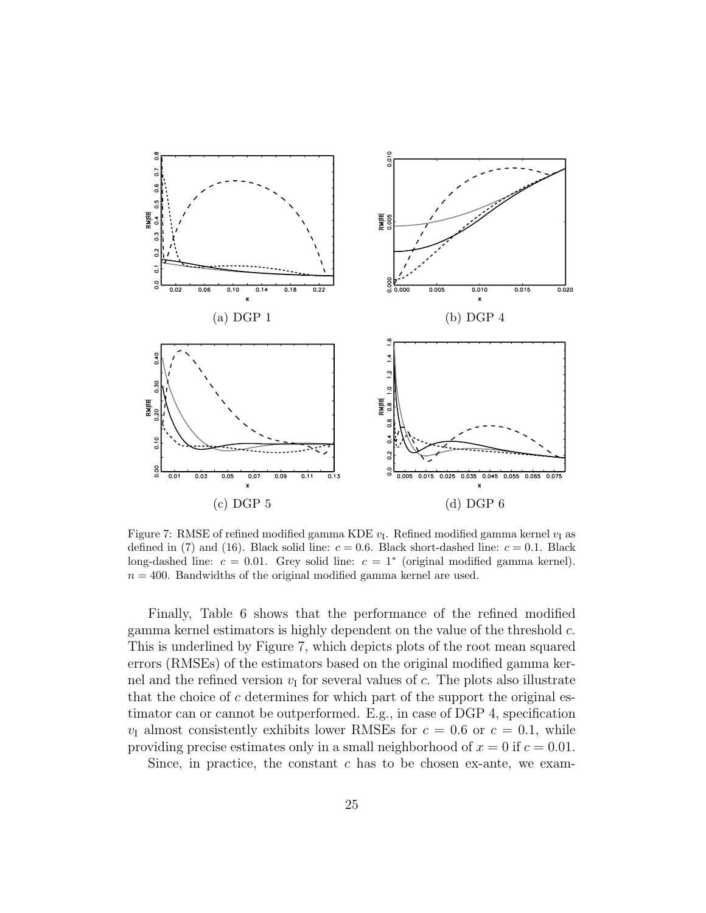

Figure 7: RMSE of refined modified gamma KDE  $v_I$ . Refined modified gamma kernel  $v_I$  as defined in (7) and (16). Black solid line:  $c = 0.6$ . Black short-dashed line:  $c = 0.1$ . Black long-dashed line:  $c = 0.01$ . Grey solid line:  $c = 1^*$  (original modified gamma kernel).  $n = 400$ . Bandwidths of the original modified gamma kernel are used.

Finally, Table 6 shows that the performance of the refined modified gamma kernel estimators is highly dependent on the value of the threshold c. This is underlined by Figure 7, which depicts plots of the root mean squared errors (RMSEs) of the estimators based on the original modified gamma kernel and the refined version  $v_I$  for several values of c. The plots also illustrate that the choice of  $c$  determines for which part of the support the original estimator can or cannot be outperformed. E.g., in case of DGP 4, specification  $v_{\rm I}$  almost consistently exhibits lower RMSEs for  $c = 0.6$  or  $c = 0.1$ , while providing precise estimates only in a small neighborhood of  $x = 0$  if  $c = 0.01$ .

Since, in practice, the constant  $c$  has to be chosen ex-ante, we exam-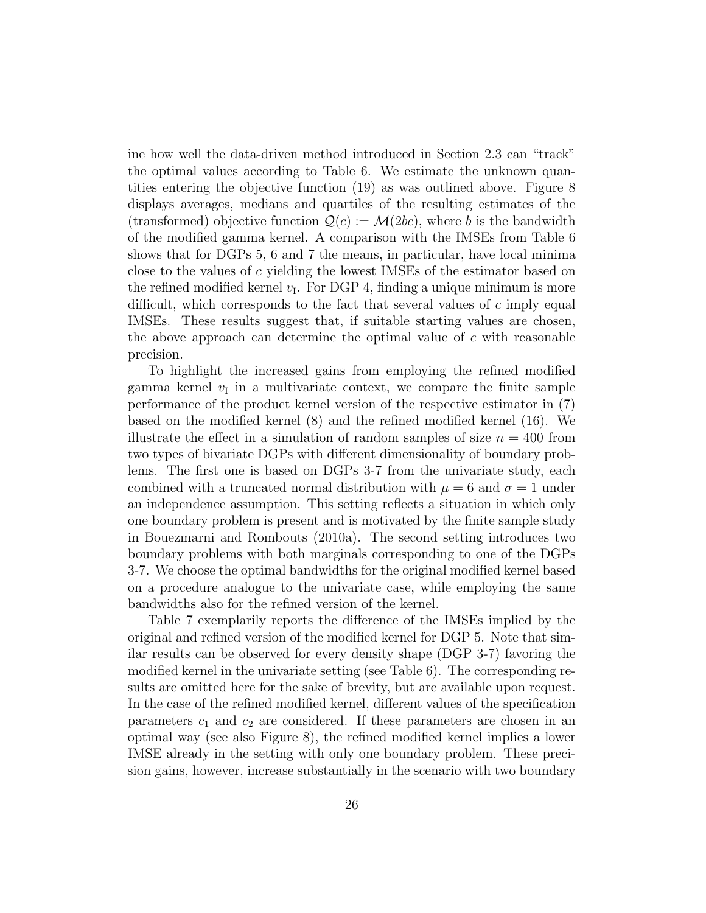ine how well the data-driven method introduced in Section 2.3 can "track" the optimal values according to Table 6. We estimate the unknown quantities entering the objective function (19) as was outlined above. Figure 8 displays averages, medians and quartiles of the resulting estimates of the (transformed) objective function  $\mathcal{Q}(c) := \mathcal{M}(2bc)$ , where b is the bandwidth of the modified gamma kernel. A comparison with the IMSEs from Table 6 shows that for DGPs 5, 6 and 7 the means, in particular, have local minima close to the values of c yielding the lowest IMSEs of the estimator based on the refined modified kernel  $v_I$ . For DGP 4, finding a unique minimum is more difficult, which corresponds to the fact that several values of  $c$  imply equal IMSEs. These results suggest that, if suitable starting values are chosen, the above approach can determine the optimal value of  $c$  with reasonable precision.

To highlight the increased gains from employing the refined modified gamma kernel  $v_I$  in a multivariate context, we compare the finite sample performance of the product kernel version of the respective estimator in (7) based on the modified kernel (8) and the refined modified kernel (16). We illustrate the effect in a simulation of random samples of size  $n = 400$  from two types of bivariate DGPs with different dimensionality of boundary problems. The first one is based on DGPs 3-7 from the univariate study, each combined with a truncated normal distribution with  $\mu = 6$  and  $\sigma = 1$  under an independence assumption. This setting reflects a situation in which only one boundary problem is present and is motivated by the finite sample study in Bouezmarni and Rombouts (2010a). The second setting introduces two boundary problems with both marginals corresponding to one of the DGPs 3-7. We choose the optimal bandwidths for the original modified kernel based on a procedure analogue to the univariate case, while employing the same bandwidths also for the refined version of the kernel.

Table 7 exemplarily reports the difference of the IMSEs implied by the original and refined version of the modified kernel for DGP 5. Note that similar results can be observed for every density shape (DGP 3-7) favoring the modified kernel in the univariate setting (see Table 6). The corresponding results are omitted here for the sake of brevity, but are available upon request. In the case of the refined modified kernel, different values of the specification parameters  $c_1$  and  $c_2$  are considered. If these parameters are chosen in an optimal way (see also Figure 8), the refined modified kernel implies a lower IMSE already in the setting with only one boundary problem. These precision gains, however, increase substantially in the scenario with two boundary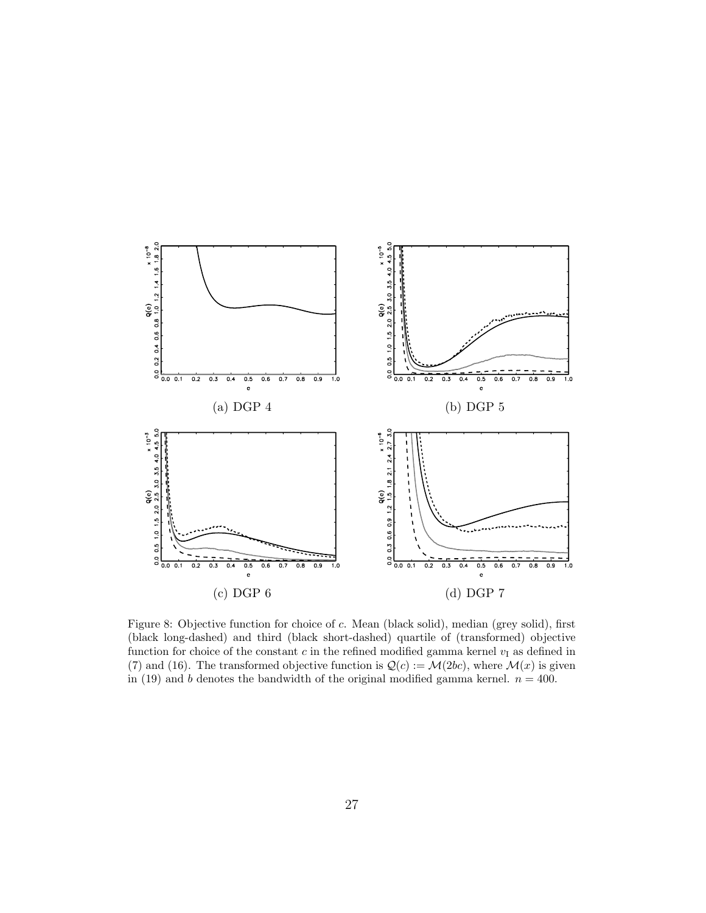

Figure 8: Objective function for choice of c. Mean (black solid), median (grey solid), first (black long-dashed) and third (black short-dashed) quartile of (transformed) objective function for choice of the constant c in the refined modified gamma kernel  $v_I$  as defined in (7) and (16). The transformed objective function is  $\mathcal{Q}(c) := \mathcal{M}(2bc)$ , where  $\mathcal{M}(x)$  is given in (19) and b denotes the bandwidth of the original modified gamma kernel.  $n = 400$ .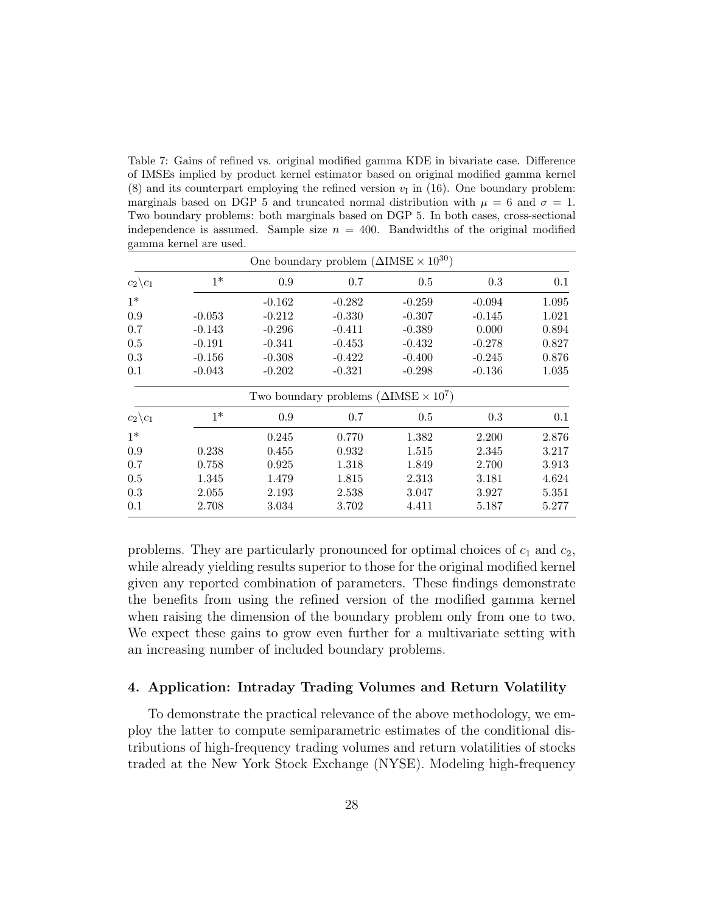Table 7: Gains of refined vs. original modified gamma KDE in bivariate case. Difference of IMSEs implied by product kernel estimator based on original modified gamma kernel (8) and its counterpart employing the refined version  $v_I$  in (16). One boundary problem: marginals based on DGP 5 and truncated normal distribution with  $\mu = 6$  and  $\sigma = 1$ . Two boundary problems: both marginals based on DGP 5. In both cases, cross-sectional independence is assumed. Sample size  $n = 400$ . Bandwidths of the original modified gamma kernel are used.

|                     |          |          | One boundary problem $(\Delta \text{IMSE} \times 10^{30})$ |          |          |       |
|---------------------|----------|----------|------------------------------------------------------------|----------|----------|-------|
| $c_2\backslash c_1$ | $1*$     | 0.9      | 0.7                                                        | 0.5      | 0.3      | 0.1   |
| $1*$                |          | $-0.162$ | $-0.282$                                                   | $-0.259$ | $-0.094$ | 1.095 |
| 0.9                 | $-0.053$ | $-0.212$ | $-0.330$                                                   | $-0.307$ | $-0.145$ | 1.021 |
| 0.7                 | $-0.143$ | $-0.296$ | $-0.411$                                                   | $-0.389$ | 0.000    | 0.894 |
| 0.5                 | $-0.191$ | $-0.341$ | $-0.453$                                                   | $-0.432$ | $-0.278$ | 0.827 |
| 0.3                 | $-0.156$ | $-0.308$ | $-0.422$                                                   | $-0.400$ | $-0.245$ | 0.876 |
| 0.1                 | $-0.043$ | $-0.202$ | $-0.321$                                                   | $-0.298$ | $-0.136$ | 1.035 |
|                     |          |          | Two boundary problems $(\Delta \text{IMSE} \times 10^7)$   |          |          |       |
| $c_2\backslash c_1$ | $1*$     | 0.9      | 0.7                                                        | 0.5      | 0.3      | 0.1   |
| $1*$                |          | 0.245    | 0.770                                                      | 1.382    | 2.200    | 2.876 |
| 0.9                 | 0.238    | 0.455    | 0.932                                                      | 1.515    | 2.345    | 3.217 |
| 0.7                 | 0.758    | 0.925    | 1.318                                                      | 1.849    | 2.700    | 3.913 |
| 0.5                 | 1.345    | 1.479    | 1.815                                                      | 2.313    | 3.181    | 4.624 |
| 0.3                 | 2.055    | 2.193    | 2.538                                                      | 3.047    | 3.927    | 5.351 |
| 0.1                 | 2.708    | 3.034    | 3.702                                                      | 4.411    | 5.187    | 5.277 |

problems. They are particularly pronounced for optimal choices of  $c_1$  and  $c_2$ , while already yielding results superior to those for the original modified kernel given any reported combination of parameters. These findings demonstrate the benefits from using the refined version of the modified gamma kernel when raising the dimension of the boundary problem only from one to two. We expect these gains to grow even further for a multivariate setting with an increasing number of included boundary problems.

# 4. Application: Intraday Trading Volumes and Return Volatility

To demonstrate the practical relevance of the above methodology, we employ the latter to compute semiparametric estimates of the conditional distributions of high-frequency trading volumes and return volatilities of stocks traded at the New York Stock Exchange (NYSE). Modeling high-frequency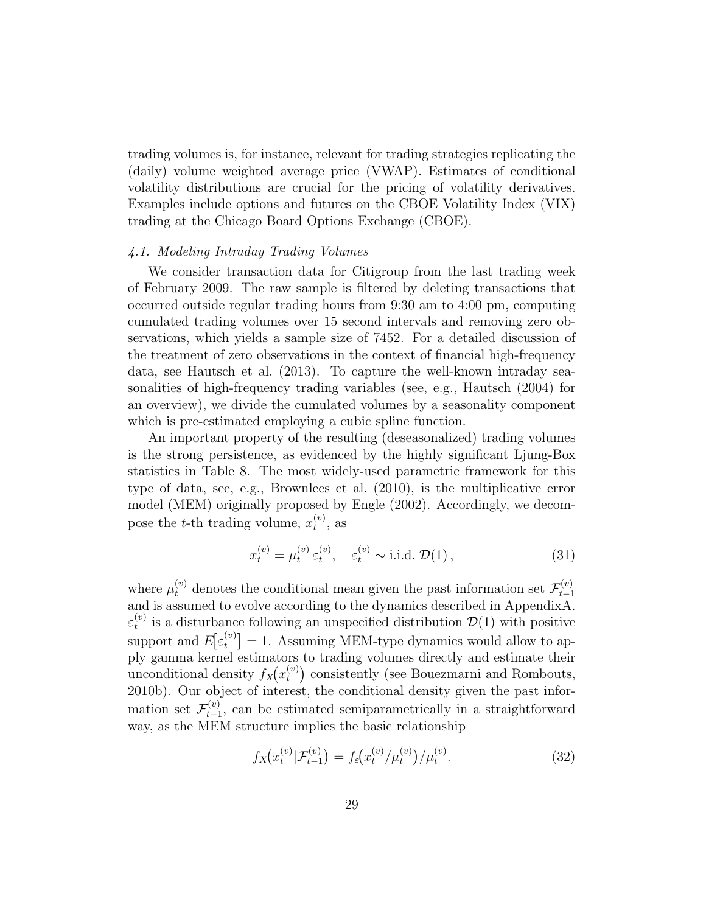trading volumes is, for instance, relevant for trading strategies replicating the (daily) volume weighted average price (VWAP). Estimates of conditional volatility distributions are crucial for the pricing of volatility derivatives. Examples include options and futures on the CBOE Volatility Index (VIX) trading at the Chicago Board Options Exchange (CBOE).

### 4.1. Modeling Intraday Trading Volumes

We consider transaction data for Citigroup from the last trading week of February 2009. The raw sample is filtered by deleting transactions that occurred outside regular trading hours from 9:30 am to 4:00 pm, computing cumulated trading volumes over 15 second intervals and removing zero observations, which yields a sample size of 7452. For a detailed discussion of the treatment of zero observations in the context of financial high-frequency data, see Hautsch et al. (2013). To capture the well-known intraday seasonalities of high-frequency trading variables (see, e.g., Hautsch (2004) for an overview), we divide the cumulated volumes by a seasonality component which is pre-estimated employing a cubic spline function.

An important property of the resulting (deseasonalized) trading volumes is the strong persistence, as evidenced by the highly significant Ljung-Box statistics in Table 8. The most widely-used parametric framework for this type of data, see, e.g., Brownlees et al. (2010), is the multiplicative error model (MEM) originally proposed by Engle (2002). Accordingly, we decompose the *t*-th trading volume,  $x_t^{(v)}$  $t^{(v)}$ , as

$$
x_t^{(v)} = \mu_t^{(v)} \varepsilon_t^{(v)}, \quad \varepsilon_t^{(v)} \sim \text{i.i.d. } \mathcal{D}(1), \tag{31}
$$

where  $\mu_t^{(v)}$  denotes the conditional mean given the past information set  $\mathcal{F}_{t-1}^{(v)}$  $t-1$ and is assumed to evolve according to the dynamics described in AppendixA.  $\varepsilon_t^{(v)}$  $t_t^{(v)}$  is a disturbance following an unspecified distribution  $\mathcal{D}(1)$  with positive support and  $E[\varepsilon_t^{(v)}]$  $\mathbf{t}_{t}^{(v)}$  = 1. Assuming MEM-type dynamics would allow to apply gamma kernel estimators to trading volumes directly and estimate their unconditional density  $f_X(x_t^{(v)})$  $t_t^{(v)}$ ) consistently (see Bouezmarni and Rombouts, 2010b). Our object of interest, the conditional density given the past information set  $\mathcal{F}^{(v)}_{t-1}$  $t_{t-1}^{(v)}$ , can be estimated semiparametrically in a straightforward way, as the MEM structure implies the basic relationship

$$
f_X(x_t^{(v)}|\mathcal{F}_{t-1}^{(v)}) = f_\varepsilon(x_t^{(v)}/\mu_t^{(v)})/\mu_t^{(v)}.
$$
\n(32)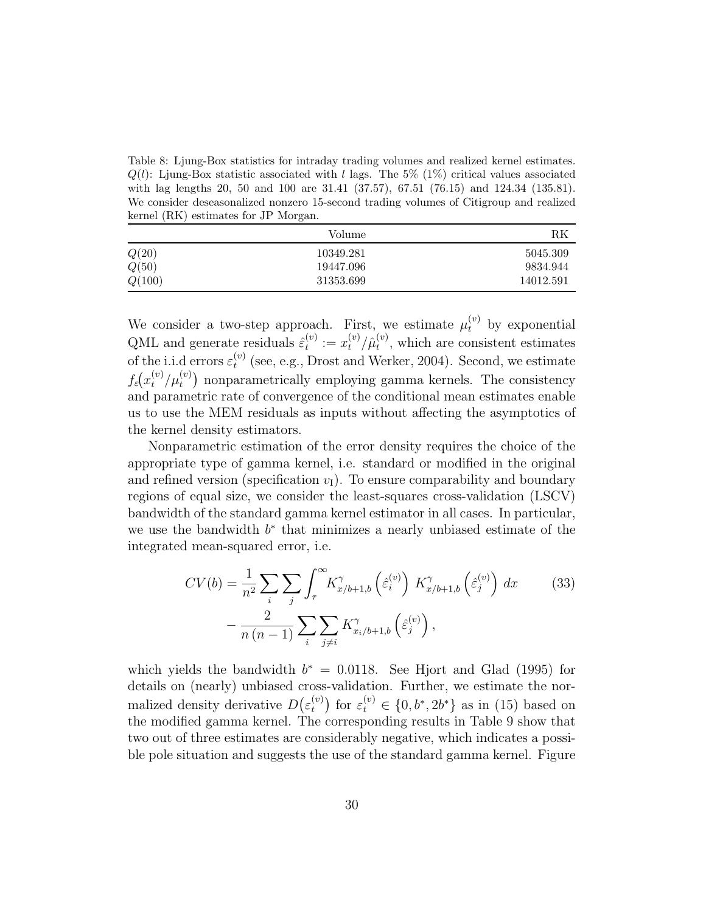Table 8: Ljung-Box statistics for intraday trading volumes and realized kernel estimates.  $Q(l)$ : Ljung-Box statistic associated with l lags. The 5% (1%) critical values associated with lag lengths 20, 50 and 100 are 31.41 (37.57), 67.51 (76.15) and 124.34 (135.81). We consider deseasonalized nonzero 15-second trading volumes of Citigroup and realized kernel (RK) estimates for JP Morgan.

|        | Volume    | RK        |
|--------|-----------|-----------|
| Q(20)  | 10349.281 | 5045.309  |
| Q(50)  | 19447.096 | 9834.944  |
| Q(100) | 31353.699 | 14012.591 |

We consider a two-step approach. First, we estimate  $\mu_t^{(v)}$  by exponential QML and generate residuals  $\hat{\varepsilon}_t^{(v)}$  $t^{(v)}_t := x_t^{(v)}/\hat{\mu}_t^{(v)}$  $t^{(v)}$ , which are consistent estimates of the i.i.d errors  $\varepsilon_t^{(v)}$  $t_t^{(v)}$  (see, e.g., Drost and Werker, 2004). Second, we estimate  $f_{\varepsilon}(x_t^{(v)}/\mu_t^{(v)})$  nonparametrically employing gamma kernels. The consistency and parametric rate of convergence of the conditional mean estimates enable us to use the MEM residuals as inputs without affecting the asymptotics of the kernel density estimators.

Nonparametric estimation of the error density requires the choice of the appropriate type of gamma kernel, i.e. standard or modified in the original and refined version (specification  $v_I$ ). To ensure comparability and boundary regions of equal size, we consider the least-squares cross-validation (LSCV) bandwidth of the standard gamma kernel estimator in all cases. In particular, we use the bandwidth  $b^*$  that minimizes a nearly unbiased estimate of the integrated mean-squared error, i.e.

$$
CV(b) = \frac{1}{n^2} \sum_{i} \sum_{j} \int_{\tau}^{\infty} K_{x/b+1,b}^{\gamma} \left(\hat{\varepsilon}_i^{(v)}\right) K_{x/b+1,b}^{\gamma} \left(\hat{\varepsilon}_j^{(v)}\right) dx
$$
\n
$$
- \frac{2}{n(n-1)} \sum_{i} \sum_{j \neq i} K_{x_i/b+1,b}^{\gamma} \left(\hat{\varepsilon}_j^{(v)}\right),
$$
\n(33)

which yields the bandwidth  $b^* = 0.0118$ . See Hjort and Glad (1995) for details on (nearly) unbiased cross-validation. Further, we estimate the normalized density derivative  $D(\varepsilon_t^{(v)})$  $t_t^{(v)}$  for  $\varepsilon_t^{(v)} \in \{0, b^*, 2b^*\}$  as in (15) based on the modified gamma kernel. The corresponding results in Table 9 show that two out of three estimates are considerably negative, which indicates a possible pole situation and suggests the use of the standard gamma kernel. Figure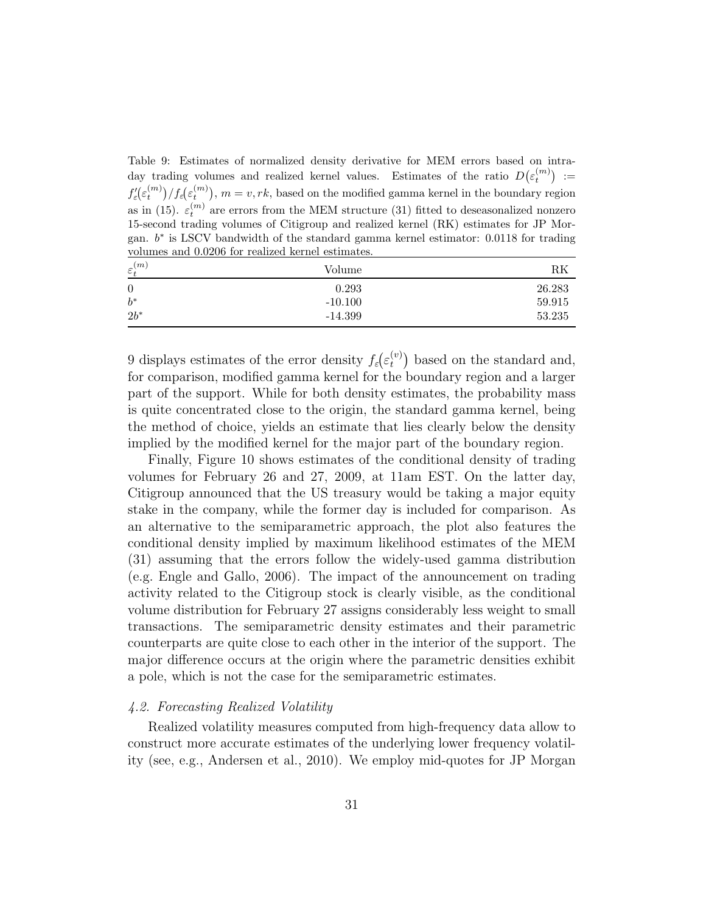Table 9: Estimates of normalized density derivative for MEM errors based on intraday trading volumes and realized kernel values. Estimates of the ratio  $D(\varepsilon_t^{(m)}) :=$  $f'_\varepsilon(\varepsilon_t^{(m)})/f_\varepsilon(\varepsilon_t^{(m)}), m=v, rk$ , based on the modified gamma kernel in the boundary region as in (15).  $\varepsilon_t^{(m)}$  are errors from the MEM structure (31) fitted to deseasonalized nonzero 15-second trading volumes of Citigroup and realized kernel (RK) estimates for JP Morgan.  $b^*$  is LSCV bandwidth of the standard gamma kernel estimator: 0.0118 for trading volumes and 0.0206 for realized kernel estimates.

| $\varepsilon_t^{(m)}$ | Volume    | RK     |
|-----------------------|-----------|--------|
| $\boldsymbol{0}$      | 0.293     | 26.283 |
| $b^*$                 | $-10.100$ | 59.915 |
| $2b^*$                | $-14.399$ | 53.235 |

9 displays estimates of the error density  $f_{\varepsilon}(\varepsilon_t^{(v)})$  $\binom{v}{t}$  based on the standard and, for comparison, modified gamma kernel for the boundary region and a larger part of the support. While for both density estimates, the probability mass is quite concentrated close to the origin, the standard gamma kernel, being the method of choice, yields an estimate that lies clearly below the density implied by the modified kernel for the major part of the boundary region.

Finally, Figure 10 shows estimates of the conditional density of trading volumes for February 26 and 27, 2009, at 11am EST. On the latter day, Citigroup announced that the US treasury would be taking a major equity stake in the company, while the former day is included for comparison. As an alternative to the semiparametric approach, the plot also features the conditional density implied by maximum likelihood estimates of the MEM (31) assuming that the errors follow the widely-used gamma distribution (e.g. Engle and Gallo, 2006). The impact of the announcement on trading activity related to the Citigroup stock is clearly visible, as the conditional volume distribution for February 27 assigns considerably less weight to small transactions. The semiparametric density estimates and their parametric counterparts are quite close to each other in the interior of the support. The major difference occurs at the origin where the parametric densities exhibit a pole, which is not the case for the semiparametric estimates.

### 4.2. Forecasting Realized Volatility

Realized volatility measures computed from high-frequency data allow to construct more accurate estimates of the underlying lower frequency volatility (see, e.g., Andersen et al., 2010). We employ mid-quotes for JP Morgan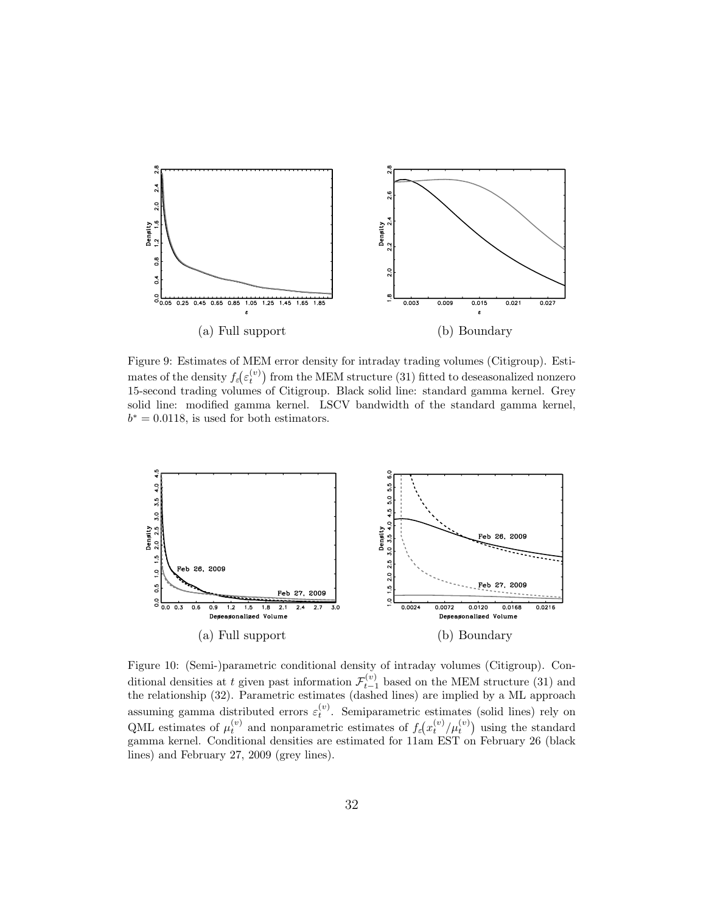

Figure 9: Estimates of MEM error density for intraday trading volumes (Citigroup). Estimates of the density  $f_{\varepsilon}(\varepsilon_t^{(v)})$  from the MEM structure (31) fitted to deseasonalized nonzero 15-second trading volumes of Citigroup. Black solid line: standard gamma kernel. Grey solid line: modified gamma kernel. LSCV bandwidth of the standard gamma kernel,  $b^* = 0.0118$ , is used for both estimators.



Figure 10: (Semi-)parametric conditional density of intraday volumes (Citigroup). Conditional densities at t given past information  $\mathcal{F}_{t-1}^{(v)}$  based on the MEM structure (31) and the relationship (32). Parametric estimates (dashed lines) are implied by a ML approach assuming gamma distributed errors  $\varepsilon_t^{(v)}$ . Semiparametric estimates (solid lines) rely on QML estimates of  $\mu_t^{(v)}$  and nonparametric estimates of  $f_{\varepsilon}(x_t^{(v)}/\mu_t^{(v)})$  using the standard gamma kernel. Conditional densities are estimated for 11am EST on February 26 (black lines) and February 27, 2009 (grey lines).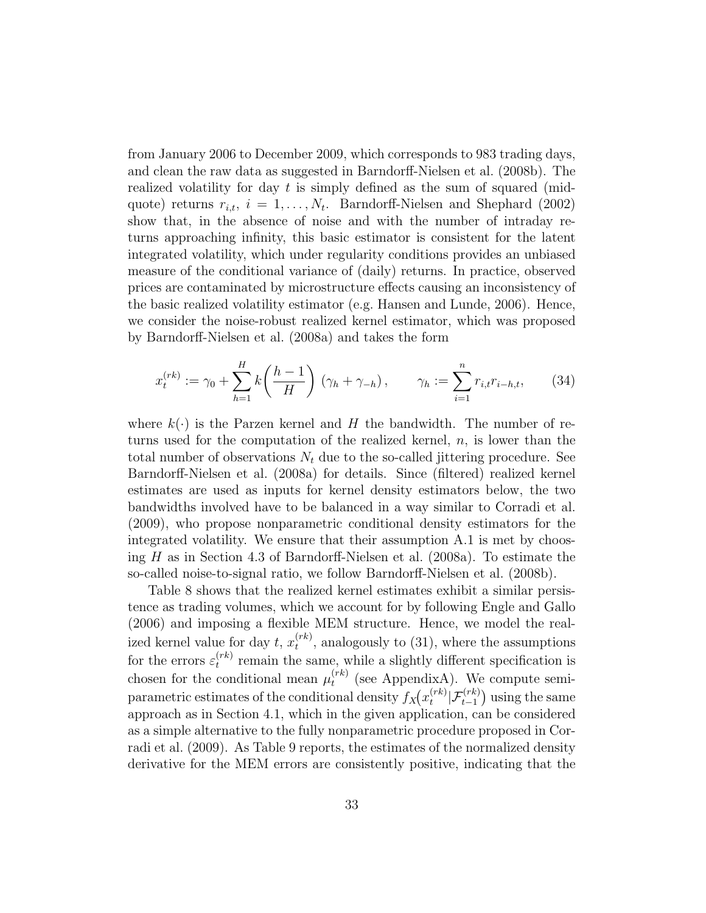from January 2006 to December 2009, which corresponds to 983 trading days, and clean the raw data as suggested in Barndorff-Nielsen et al. (2008b). The realized volatility for day  $t$  is simply defined as the sum of squared (midquote) returns  $r_{i,t}$ ,  $i = 1, \ldots, N_t$ . Barndorff-Nielsen and Shephard (2002) show that, in the absence of noise and with the number of intraday returns approaching infinity, this basic estimator is consistent for the latent integrated volatility, which under regularity conditions provides an unbiased measure of the conditional variance of (daily) returns. In practice, observed prices are contaminated by microstructure effects causing an inconsistency of the basic realized volatility estimator (e.g. Hansen and Lunde, 2006). Hence, we consider the noise-robust realized kernel estimator, which was proposed by Barndorff-Nielsen et al. (2008a) and takes the form

$$
x_t^{(rk)} := \gamma_0 + \sum_{h=1}^H k\left(\frac{h-1}{H}\right) (\gamma_h + \gamma_{-h}), \qquad \gamma_h := \sum_{i=1}^n r_{i,t} r_{i-h,t}, \qquad (34)
$$

where  $k(.)$  is the Parzen kernel and H the bandwidth. The number of returns used for the computation of the realized kernel,  $n$ , is lower than the total number of observations  $N_t$  due to the so-called jittering procedure. See Barndorff-Nielsen et al. (2008a) for details. Since (filtered) realized kernel estimates are used as inputs for kernel density estimators below, the two bandwidths involved have to be balanced in a way similar to Corradi et al. (2009), who propose nonparametric conditional density estimators for the integrated volatility. We ensure that their assumption A.1 is met by choosing  $H$  as in Section 4.3 of Barndorff-Nielsen et al. (2008a). To estimate the so-called noise-to-signal ratio, we follow Barndorff-Nielsen et al. (2008b).

Table 8 shows that the realized kernel estimates exhibit a similar persistence as trading volumes, which we account for by following Engle and Gallo (2006) and imposing a flexible MEM structure. Hence, we model the realized kernel value for day  $t, x_t^{(rk)}$  $t^{(rk)}$ , analogously to (31), where the assumptions for the errors  $\varepsilon_t^{(rk)}$  $t_t^{(rk)}$  remain the same, while a slightly different specification is chosen for the conditional mean  $\mu_t^{(rk)}$  $t_t^{(rk)}$  (see AppendixA). We compute semiparametric estimates of the conditional density  $f_X(x_t^{(rk)})$  $_{t}^{(rk)}|\mathcal{F}_{t-1}^{(rk)})$  using the same approach as in Section 4.1, which in the given application, can be considered as a simple alternative to the fully nonparametric procedure proposed in Corradi et al. (2009). As Table 9 reports, the estimates of the normalized density derivative for the MEM errors are consistently positive, indicating that the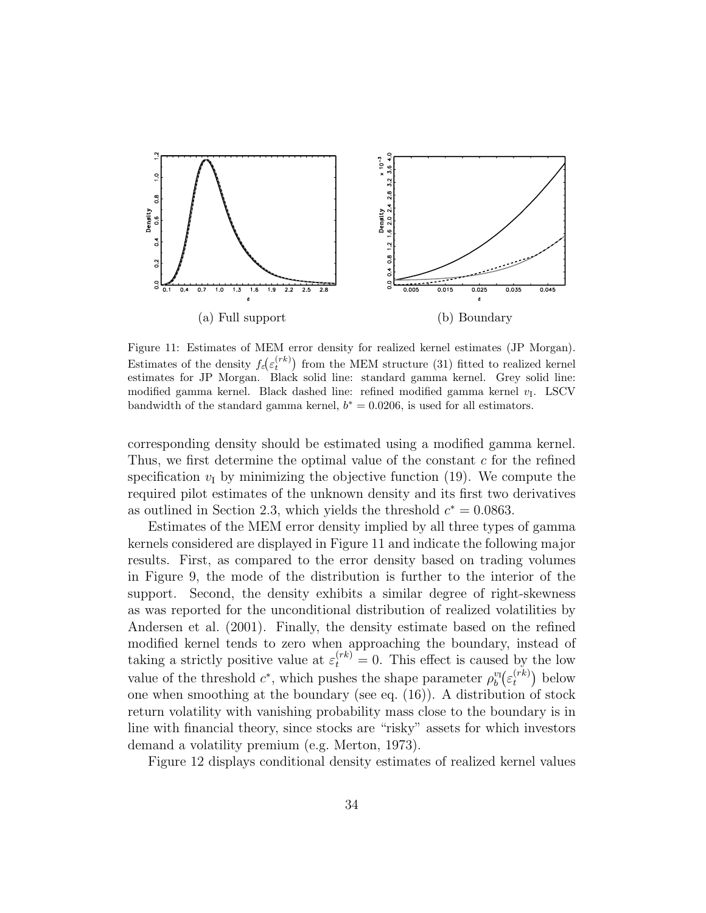

Figure 11: Estimates of MEM error density for realized kernel estimates (JP Morgan). Estimates of the density  $f_{\varepsilon}(\varepsilon_t^{(rk)})$  from the MEM structure (31) fitted to realized kernel estimates for JP Morgan. Black solid line: standard gamma kernel. Grey solid line: modified gamma kernel. Black dashed line: refined modified gamma kernel  $v_I$ . LSCV bandwidth of the standard gamma kernel,  $b^* = 0.0206$ , is used for all estimators.

corresponding density should be estimated using a modified gamma kernel. Thus, we first determine the optimal value of the constant c for the refined specification  $v_I$  by minimizing the objective function (19). We compute the required pilot estimates of the unknown density and its first two derivatives as outlined in Section 2.3, which yields the threshold  $c^* = 0.0863$ .

Estimates of the MEM error density implied by all three types of gamma kernels considered are displayed in Figure 11 and indicate the following major results. First, as compared to the error density based on trading volumes in Figure 9, the mode of the distribution is further to the interior of the support. Second, the density exhibits a similar degree of right-skewness as was reported for the unconditional distribution of realized volatilities by Andersen et al. (2001). Finally, the density estimate based on the refined modified kernel tends to zero when approaching the boundary, instead of taking a strictly positive value at  $\varepsilon_t^{(rk)} = 0$ . This effect is caused by the low value of the threshold  $c^*$ , which pushes the shape parameter  $\rho_b^{v_l}(\varepsilon_t^{(rk)})$  $t^{(rk)}$ ) below one when smoothing at the boundary (see eq. (16)). A distribution of stock return volatility with vanishing probability mass close to the boundary is in line with financial theory, since stocks are "risky" assets for which investors demand a volatility premium (e.g. Merton, 1973).

Figure 12 displays conditional density estimates of realized kernel values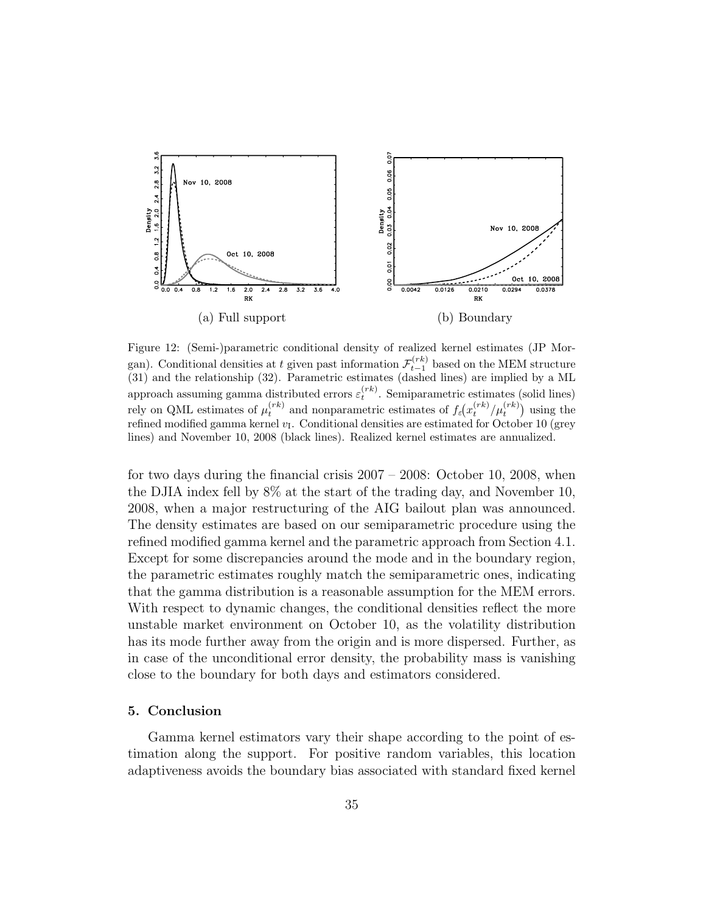

Figure 12: (Semi-)parametric conditional density of realized kernel estimates (JP Morgan). Conditional densities at t given past information  $\mathcal{F}_{t-1}^{(rk)}$  based on the MEM structure (31) and the relationship (32). Parametric estimates (dashed lines) are implied by a ML approach assuming gamma distributed errors  $\varepsilon_t^{(rk)}$ . Semiparametric estimates (solid lines) rely on QML estimates of  $\mu_t^{(rk)}$  and nonparametric estimates of  $f_\varepsilon(x_t^{(rk)}/\mu_t^{(rk)})$  using the refined modified gamma kernel  $v_I$ . Conditional densities are estimated for October 10 (grey lines) and November 10, 2008 (black lines). Realized kernel estimates are annualized.

for two days during the financial crisis 2007 – 2008: October 10, 2008, when the DJIA index fell by 8% at the start of the trading day, and November 10, 2008, when a major restructuring of the AIG bailout plan was announced. The density estimates are based on our semiparametric procedure using the refined modified gamma kernel and the parametric approach from Section 4.1. Except for some discrepancies around the mode and in the boundary region, the parametric estimates roughly match the semiparametric ones, indicating that the gamma distribution is a reasonable assumption for the MEM errors. With respect to dynamic changes, the conditional densities reflect the more unstable market environment on October 10, as the volatility distribution has its mode further away from the origin and is more dispersed. Further, as in case of the unconditional error density, the probability mass is vanishing close to the boundary for both days and estimators considered.

#### 5. Conclusion

Gamma kernel estimators vary their shape according to the point of estimation along the support. For positive random variables, this location adaptiveness avoids the boundary bias associated with standard fixed kernel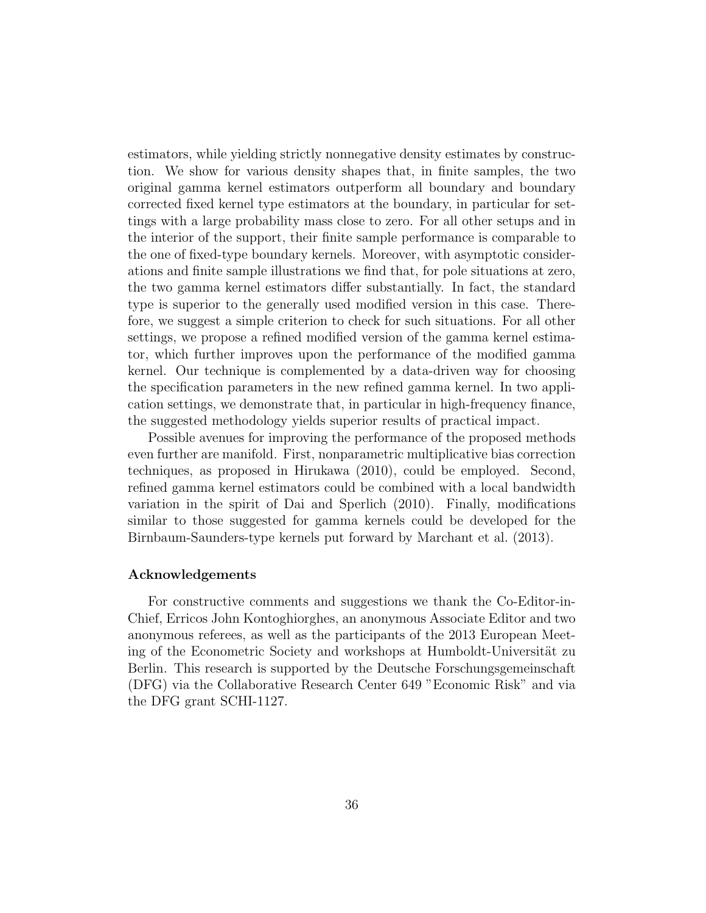estimators, while yielding strictly nonnegative density estimates by construction. We show for various density shapes that, in finite samples, the two original gamma kernel estimators outperform all boundary and boundary corrected fixed kernel type estimators at the boundary, in particular for settings with a large probability mass close to zero. For all other setups and in the interior of the support, their finite sample performance is comparable to the one of fixed-type boundary kernels. Moreover, with asymptotic considerations and finite sample illustrations we find that, for pole situations at zero, the two gamma kernel estimators differ substantially. In fact, the standard type is superior to the generally used modified version in this case. Therefore, we suggest a simple criterion to check for such situations. For all other settings, we propose a refined modified version of the gamma kernel estimator, which further improves upon the performance of the modified gamma kernel. Our technique is complemented by a data-driven way for choosing the specification parameters in the new refined gamma kernel. In two application settings, we demonstrate that, in particular in high-frequency finance, the suggested methodology yields superior results of practical impact.

Possible avenues for improving the performance of the proposed methods even further are manifold. First, nonparametric multiplicative bias correction techniques, as proposed in Hirukawa (2010), could be employed. Second, refined gamma kernel estimators could be combined with a local bandwidth variation in the spirit of Dai and Sperlich (2010). Finally, modifications similar to those suggested for gamma kernels could be developed for the Birnbaum-Saunders-type kernels put forward by Marchant et al. (2013).

#### Acknowledgements

For constructive comments and suggestions we thank the Co-Editor-in-Chief, Erricos John Kontoghiorghes, an anonymous Associate Editor and two anonymous referees, as well as the participants of the 2013 European Meeting of the Econometric Society and workshops at Humboldt-Universität zu Berlin. This research is supported by the Deutsche Forschungsgemeinschaft (DFG) via the Collaborative Research Center 649 "Economic Risk" and via the DFG grant SCHI-1127.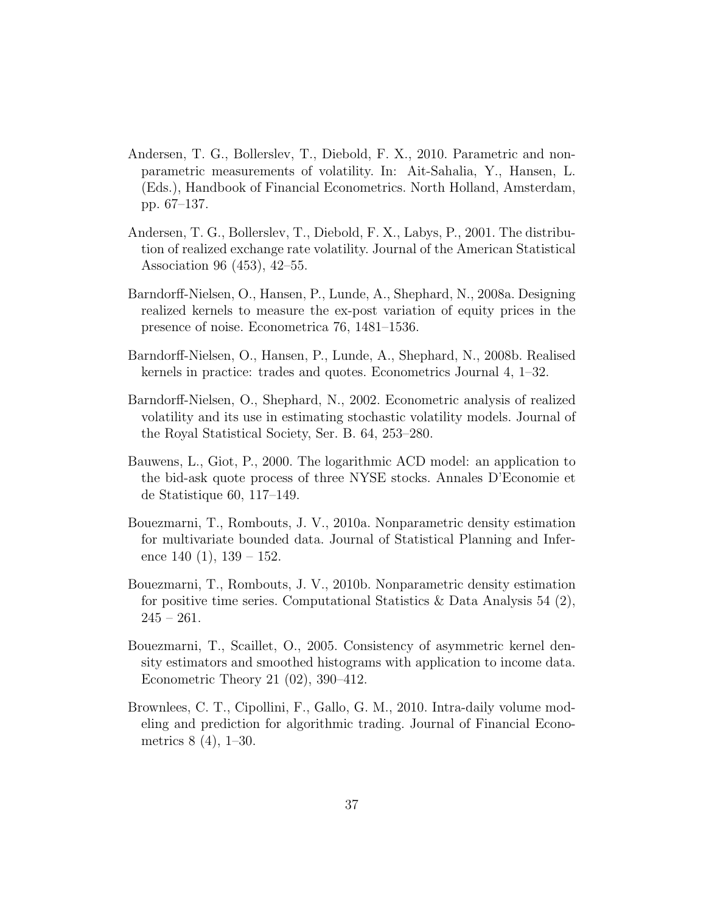- Andersen, T. G., Bollerslev, T., Diebold, F. X., 2010. Parametric and nonparametric measurements of volatility. In: Ait-Sahalia, Y., Hansen, L. (Eds.), Handbook of Financial Econometrics. North Holland, Amsterdam, pp. 67–137.
- Andersen, T. G., Bollerslev, T., Diebold, F. X., Labys, P., 2001. The distribution of realized exchange rate volatility. Journal of the American Statistical Association 96 (453), 42–55.
- Barndorff-Nielsen, O., Hansen, P., Lunde, A., Shephard, N., 2008a. Designing realized kernels to measure the ex-post variation of equity prices in the presence of noise. Econometrica 76, 1481–1536.
- Barndorff-Nielsen, O., Hansen, P., Lunde, A., Shephard, N., 2008b. Realised kernels in practice: trades and quotes. Econometrics Journal 4, 1–32.
- Barndorff-Nielsen, O., Shephard, N., 2002. Econometric analysis of realized volatility and its use in estimating stochastic volatility models. Journal of the Royal Statistical Society, Ser. B. 64, 253–280.
- Bauwens, L., Giot, P., 2000. The logarithmic ACD model: an application to the bid-ask quote process of three NYSE stocks. Annales D'Economie et de Statistique 60, 117–149.
- Bouezmarni, T., Rombouts, J. V., 2010a. Nonparametric density estimation for multivariate bounded data. Journal of Statistical Planning and Inference  $140(1)$ ,  $139-152$ .
- Bouezmarni, T., Rombouts, J. V., 2010b. Nonparametric density estimation for positive time series. Computational Statistics & Data Analysis 54  $(2)$ ,  $245 - 261.$
- Bouezmarni, T., Scaillet, O., 2005. Consistency of asymmetric kernel density estimators and smoothed histograms with application to income data. Econometric Theory 21 (02), 390–412.
- Brownlees, C. T., Cipollini, F., Gallo, G. M., 2010. Intra-daily volume modeling and prediction for algorithmic trading. Journal of Financial Econometrics 8 (4), 1–30.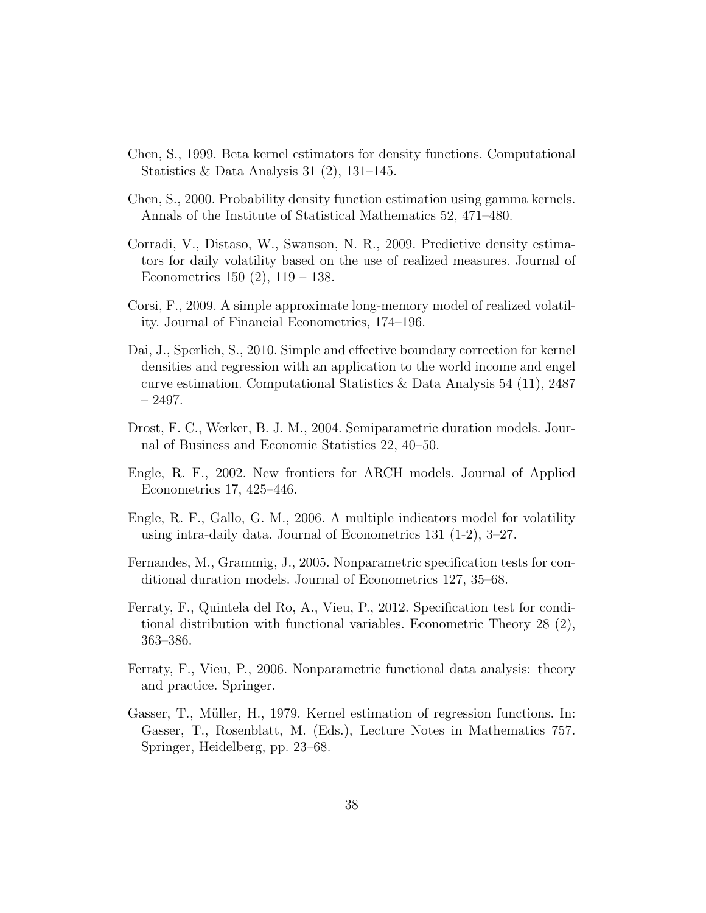- Chen, S., 1999. Beta kernel estimators for density functions. Computational Statistics & Data Analysis 31 (2), 131–145.
- Chen, S., 2000. Probability density function estimation using gamma kernels. Annals of the Institute of Statistical Mathematics 52, 471–480.
- Corradi, V., Distaso, W., Swanson, N. R., 2009. Predictive density estimators for daily volatility based on the use of realized measures. Journal of Econometrics 150 (2), 119 – 138.
- Corsi, F., 2009. A simple approximate long-memory model of realized volatility. Journal of Financial Econometrics, 174–196.
- Dai, J., Sperlich, S., 2010. Simple and effective boundary correction for kernel densities and regression with an application to the world income and engel curve estimation. Computational Statistics & Data Analysis 54 (11), 2487 – 2497.
- Drost, F. C., Werker, B. J. M., 2004. Semiparametric duration models. Journal of Business and Economic Statistics 22, 40–50.
- Engle, R. F., 2002. New frontiers for ARCH models. Journal of Applied Econometrics 17, 425–446.
- Engle, R. F., Gallo, G. M., 2006. A multiple indicators model for volatility using intra-daily data. Journal of Econometrics 131 (1-2), 3–27.
- Fernandes, M., Grammig, J., 2005. Nonparametric specification tests for conditional duration models. Journal of Econometrics 127, 35–68.
- Ferraty, F., Quintela del Ro, A., Vieu, P., 2012. Specification test for conditional distribution with functional variables. Econometric Theory 28 (2), 363–386.
- Ferraty, F., Vieu, P., 2006. Nonparametric functional data analysis: theory and practice. Springer.
- Gasser, T., Müller, H., 1979. Kernel estimation of regression functions. In: Gasser, T., Rosenblatt, M. (Eds.), Lecture Notes in Mathematics 757. Springer, Heidelberg, pp. 23–68.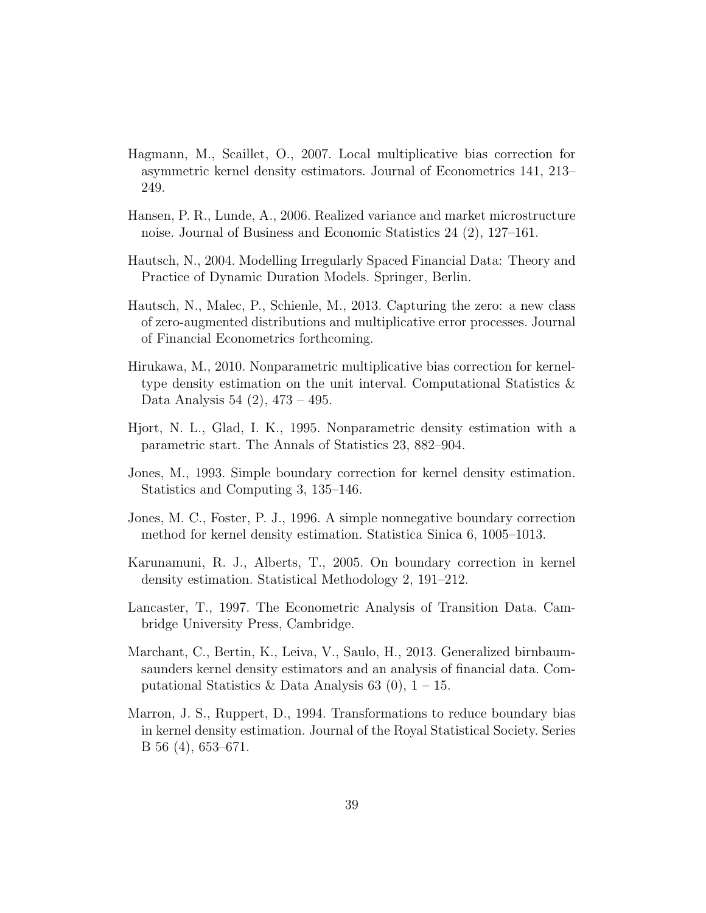- Hagmann, M., Scaillet, O., 2007. Local multiplicative bias correction for asymmetric kernel density estimators. Journal of Econometrics 141, 213– 249.
- Hansen, P. R., Lunde, A., 2006. Realized variance and market microstructure noise. Journal of Business and Economic Statistics 24 (2), 127–161.
- Hautsch, N., 2004. Modelling Irregularly Spaced Financial Data: Theory and Practice of Dynamic Duration Models. Springer, Berlin.
- Hautsch, N., Malec, P., Schienle, M., 2013. Capturing the zero: a new class of zero-augmented distributions and multiplicative error processes. Journal of Financial Econometrics forthcoming.
- Hirukawa, M., 2010. Nonparametric multiplicative bias correction for kerneltype density estimation on the unit interval. Computational Statistics & Data Analysis 54 (2), 473 – 495.
- Hjort, N. L., Glad, I. K., 1995. Nonparametric density estimation with a parametric start. The Annals of Statistics 23, 882–904.
- Jones, M., 1993. Simple boundary correction for kernel density estimation. Statistics and Computing 3, 135–146.
- Jones, M. C., Foster, P. J., 1996. A simple nonnegative boundary correction method for kernel density estimation. Statistica Sinica 6, 1005–1013.
- Karunamuni, R. J., Alberts, T., 2005. On boundary correction in kernel density estimation. Statistical Methodology 2, 191–212.
- Lancaster, T., 1997. The Econometric Analysis of Transition Data. Cambridge University Press, Cambridge.
- Marchant, C., Bertin, K., Leiva, V., Saulo, H., 2013. Generalized birnbaumsaunders kernel density estimators and an analysis of financial data. Computational Statistics & Data Analysis 63 (0),  $1 - 15$ .
- Marron, J. S., Ruppert, D., 1994. Transformations to reduce boundary bias in kernel density estimation. Journal of the Royal Statistical Society. Series B 56 (4), 653–671.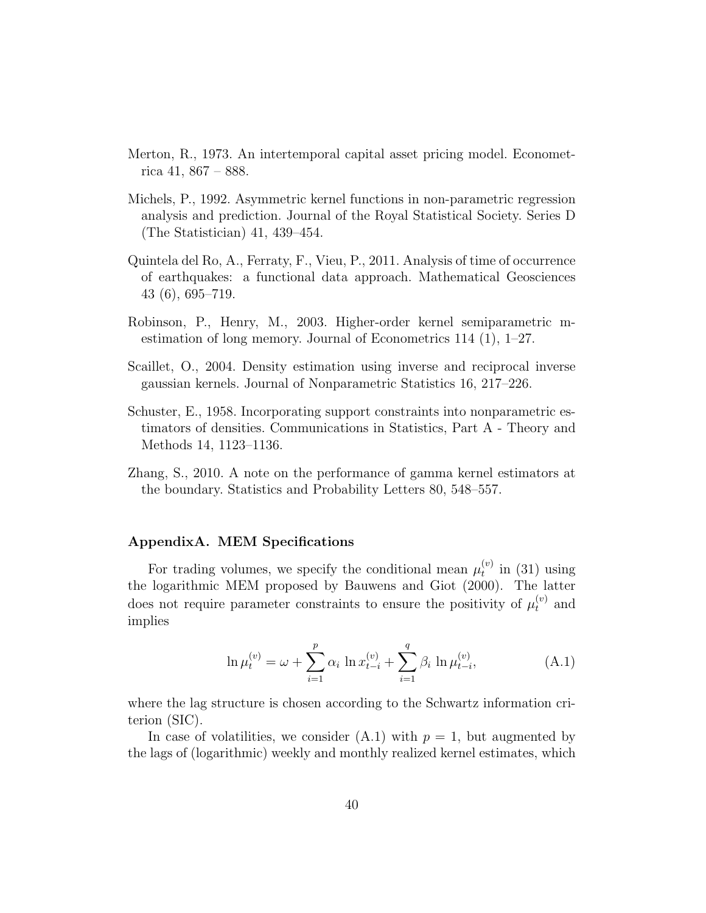- Merton, R., 1973. An intertemporal capital asset pricing model. Econometrica 41, 867 – 888.
- Michels, P., 1992. Asymmetric kernel functions in non-parametric regression analysis and prediction. Journal of the Royal Statistical Society. Series D (The Statistician) 41, 439–454.
- Quintela del Ro, A., Ferraty, F., Vieu, P., 2011. Analysis of time of occurrence of earthquakes: a functional data approach. Mathematical Geosciences 43 (6), 695–719.
- Robinson, P., Henry, M., 2003. Higher-order kernel semiparametric mestimation of long memory. Journal of Econometrics 114 (1), 1–27.
- Scaillet, O., 2004. Density estimation using inverse and reciprocal inverse gaussian kernels. Journal of Nonparametric Statistics 16, 217–226.
- Schuster, E., 1958. Incorporating support constraints into nonparametric estimators of densities. Communications in Statistics, Part A - Theory and Methods 14, 1123–1136.
- Zhang, S., 2010. A note on the performance of gamma kernel estimators at the boundary. Statistics and Probability Letters 80, 548–557.

# AppendixA. MEM Specifications

For trading volumes, we specify the conditional mean  $\mu_t^{(v)}$  $t^{(v)}$  in (31) using the logarithmic MEM proposed by Bauwens and Giot (2000). The latter does not require parameter constraints to ensure the positivity of  $\mu_t^{(v)}$  and implies

$$
\ln \mu_t^{(v)} = \omega + \sum_{i=1}^p \alpha_i \ln x_{t-i}^{(v)} + \sum_{i=1}^q \beta_i \ln \mu_{t-i}^{(v)}, \tag{A.1}
$$

where the lag structure is chosen according to the Schwartz information criterion (SIC).

In case of volatilities, we consider  $(A.1)$  with  $p = 1$ , but augmented by the lags of (logarithmic) weekly and monthly realized kernel estimates, which